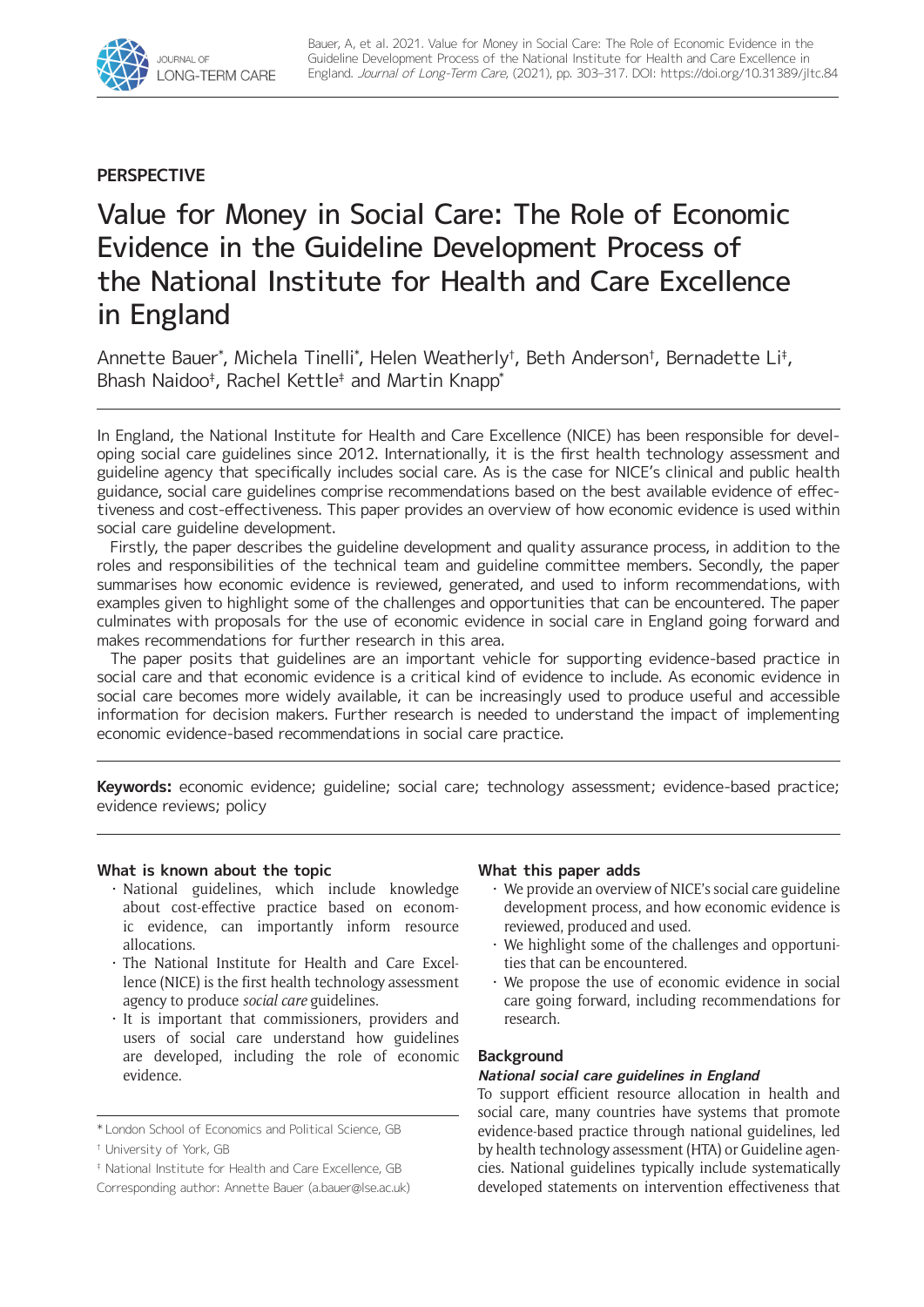

## **PERSPECTIVE**

# Value for Money in Social Care: The Role of Economic Evidence in the Guideline Development Process of the National Institute for Health and Care Excellence in England

Annette Bauer\*, Michela Tinelli\*, Helen Weatherly†, Beth Anderson†, Bernadette Li‡, Bhash Naidoo‡ , Rachel Kettle‡ and Martin Knapp\*

In England, the National Institute for Health and Care Excellence (NICE) has been responsible for developing social care guidelines since 2012. Internationally, it is the first health technology assessment and guideline agency that specifically includes social care. As is the case for NICE's clinical and public health guidance, social care guidelines comprise recommendations based on the best available evidence of effectiveness and cost-effectiveness. This paper provides an overview of how economic evidence is used within social care guideline development.

Firstly, the paper describes the guideline development and quality assurance process, in addition to the roles and responsibilities of the technical team and guideline committee members. Secondly, the paper summarises how economic evidence is reviewed, generated, and used to inform recommendations, with examples given to highlight some of the challenges and opportunities that can be encountered. The paper culminates with proposals for the use of economic evidence in social care in England going forward and makes recommendations for further research in this area.

The paper posits that guidelines are an important vehicle for supporting evidence-based practice in social care and that economic evidence is a critical kind of evidence to include. As economic evidence in social care becomes more widely available, it can be increasingly used to produce useful and accessible information for decision makers. Further research is needed to understand the impact of implementing economic evidence-based recommendations in social care practice.

**Keywords:** economic evidence; guideline; social care; technology assessment; evidence-based practice; evidence reviews; policy

## **What is known about the topic**

- • National guidelines, which include knowledge about cost-effective practice based on economic evidence, can importantly inform resource allocations.
- • The National Institute for Health and Care Excellence (NICE) is the first health technology assessment agency to produce *social care* guidelines.
- • It is important that commissioners, providers and users of social care understand how guidelines are developed, including the role of economic evidence.

## **What this paper adds**

- We provide an overview of NICE's social care guideline development process, and how economic evidence is reviewed, produced and used.
- We highlight some of the challenges and opportunities that can be encountered.
- • We propose the use of economic evidence in social care going forward, including recommendations for research.

## **Background**

## **National social care guidelines in England**

To support efficient resource allocation in health and social care, many countries have systems that promote evidence-based practice through national guidelines, led by health technology assessment (HTA) or Guideline agencies. National guidelines typically include systematically developed statements on intervention effectiveness that

<sup>\*</sup> London School of Economics and Political Science, GB

<sup>†</sup> University of York, GB

<sup>‡</sup> National Institute for Health and Care Excellence, GB

Corresponding author: Annette Bauer [\(a.bauer@lse.ac.uk\)](mailto:a.bauer@lse.ac.uk)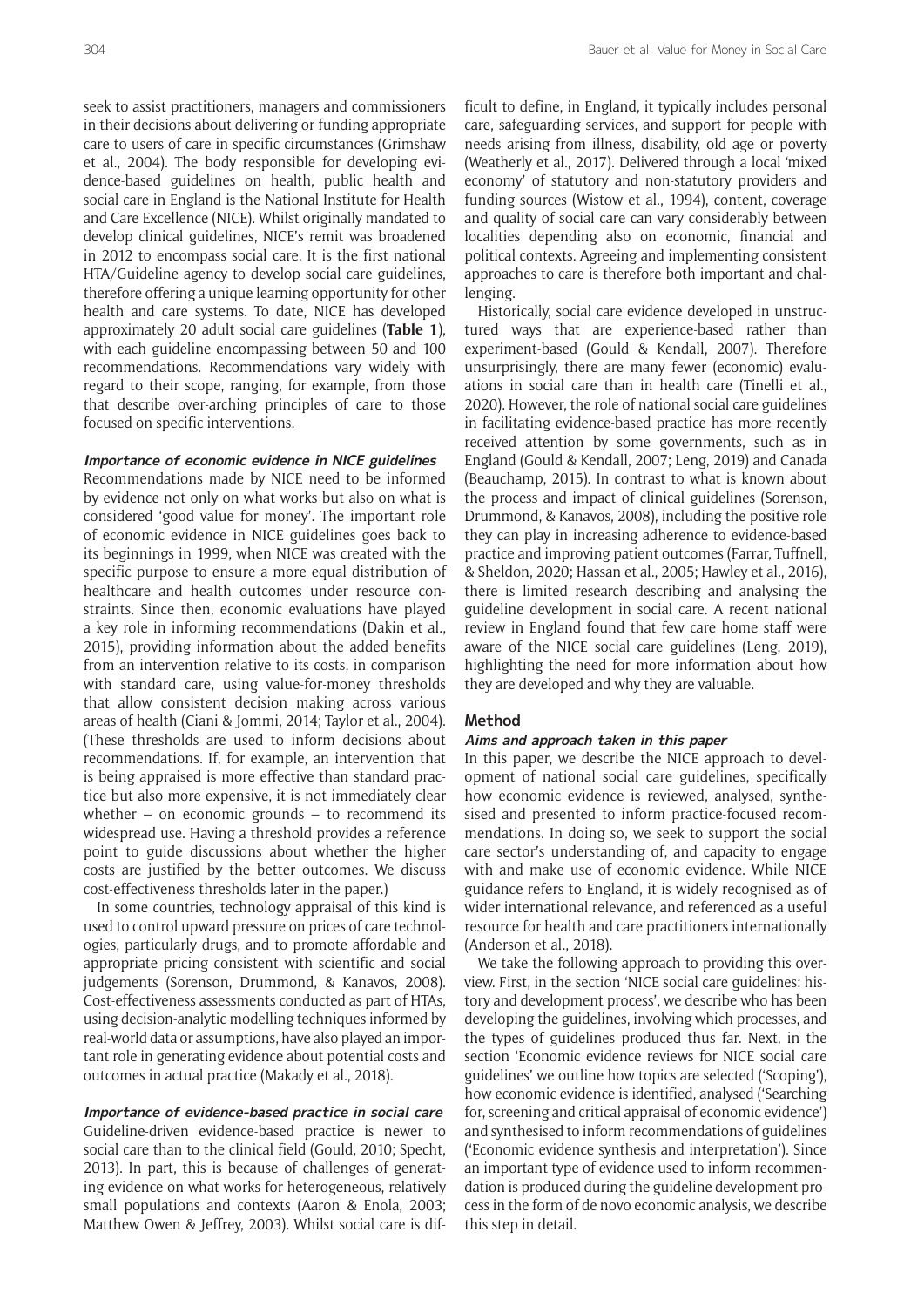seek to assist practitioners, managers and commissioners in their decisions about delivering or funding appropriate care to users of care in specific circumstances (Grimshaw et al., 2004). The body responsible for developing evidence-based guidelines on health, public health and social care in England is the National Institute for Health and Care Excellence (NICE). Whilst originally mandated to develop clinical guidelines, NICE's remit was broadened in 2012 to encompass social care. It is the first national HTA/Guideline agency to develop social care guidelines, therefore offering a unique learning opportunity for other health and care systems. To date, NICE has developed approximately 20 adult social care guidelines (**Table 1**), with each guideline encompassing between 50 and 100 recommendations. Recommendations vary widely with regard to their scope, ranging, for example, from those that describe over-arching principles of care to those focused on specific interventions.

## **Importance of economic evidence in NICE guidelines**

Recommendations made by NICE need to be informed by evidence not only on what works but also on what is considered 'good value for money'. The important role of economic evidence in NICE guidelines goes back to its beginnings in 1999, when NICE was created with the specific purpose to ensure a more equal distribution of healthcare and health outcomes under resource constraints. Since then, economic evaluations have played a key role in informing recommendations (Dakin et al., 2015), providing information about the added benefits from an intervention relative to its costs, in comparison with standard care, using value-for-money thresholds that allow consistent decision making across various areas of health (Ciani & Jommi, 2014; Taylor et al., 2004). (These thresholds are used to inform decisions about recommendations. If, for example, an intervention that is being appraised is more effective than standard practice but also more expensive, it is not immediately clear whether – on economic grounds – to recommend its widespread use. Having a threshold provides a reference point to guide discussions about whether the higher costs are justified by the better outcomes. We discuss cost-effectiveness thresholds later in the paper.)

In some countries, technology appraisal of this kind is used to control upward pressure on prices of care technologies, particularly drugs, and to promote affordable and appropriate pricing consistent with scientific and social judgements (Sorenson, Drummond, & Kanavos, 2008). Cost-effectiveness assessments conducted as part of HTAs, using decision-analytic modelling techniques informed by real-world data or assumptions, have also played an important role in generating evidence about potential costs and outcomes in actual practice (Makady et al., 2018).

## **Importance of evidence-based practice in social care**

Guideline-driven evidence-based practice is newer to social care than to the clinical field (Gould, 2010; Specht, 2013). In part, this is because of challenges of generating evidence on what works for heterogeneous, relatively small populations and contexts (Aaron & Enola, 2003; Matthew Owen & Jeffrey, 2003). Whilst social care is dif-

ficult to define, in England, it typically includes personal care, safeguarding services, and support for people with needs arising from illness, disability, old age or poverty (Weatherly et al., 2017). Delivered through a local 'mixed economy' of statutory and non-statutory providers and funding sources (Wistow et al., 1994), content, coverage and quality of social care can vary considerably between localities depending also on economic, financial and political contexts. Agreeing and implementing consistent approaches to care is therefore both important and challenging.

Historically, social care evidence developed in unstructured ways that are experience-based rather than experiment-based (Gould & Kendall, 2007). Therefore unsurprisingly, there are many fewer (economic) evaluations in social care than in health care (Tinelli et al., 2020). However, the role of national social care guidelines in facilitating evidence-based practice has more recently received attention by some governments, such as in England (Gould & Kendall, 2007; Leng, 2019) and Canada (Beauchamp, 2015). In contrast to what is known about the process and impact of clinical guidelines (Sorenson, Drummond, & Kanavos, 2008), including the positive role they can play in increasing adherence to evidence-based practice and improving patient outcomes (Farrar, Tuffnell, & Sheldon, 2020; Hassan et al., 2005; Hawley et al., 2016), there is limited research describing and analysing the guideline development in social care. A recent national review in England found that few care home staff were aware of the NICE social care guidelines (Leng, 2019), highlighting the need for more information about how they are developed and why they are valuable.

#### **Method**

## **Aims and approach taken in this paper**

In this paper, we describe the NICE approach to development of national social care guidelines, specifically how economic evidence is reviewed, analysed, synthesised and presented to inform practice-focused recommendations. In doing so, we seek to support the social care sector's understanding of, and capacity to engage with and make use of economic evidence. While NICE guidance refers to England, it is widely recognised as of wider international relevance, and referenced as a useful resource for health and care practitioners internationally (Anderson et al., 2018).

We take the following approach to providing this overview. First, in the section 'NICE social care guidelines: history and development process', we describe who has been developing the guidelines, involving which processes, and the types of guidelines produced thus far. Next, in the section 'Economic evidence reviews for NICE social care guidelines' we outline how topics are selected ('Scoping'), how economic evidence is identified, analysed ('Searching for, screening and critical appraisal of economic evidence') and synthesised to inform recommendations of guidelines ('Economic evidence synthesis and interpretation'). Since an important type of evidence used to inform recommendation is produced during the guideline development process in the form of de novo economic analysis, we describe this step in detail.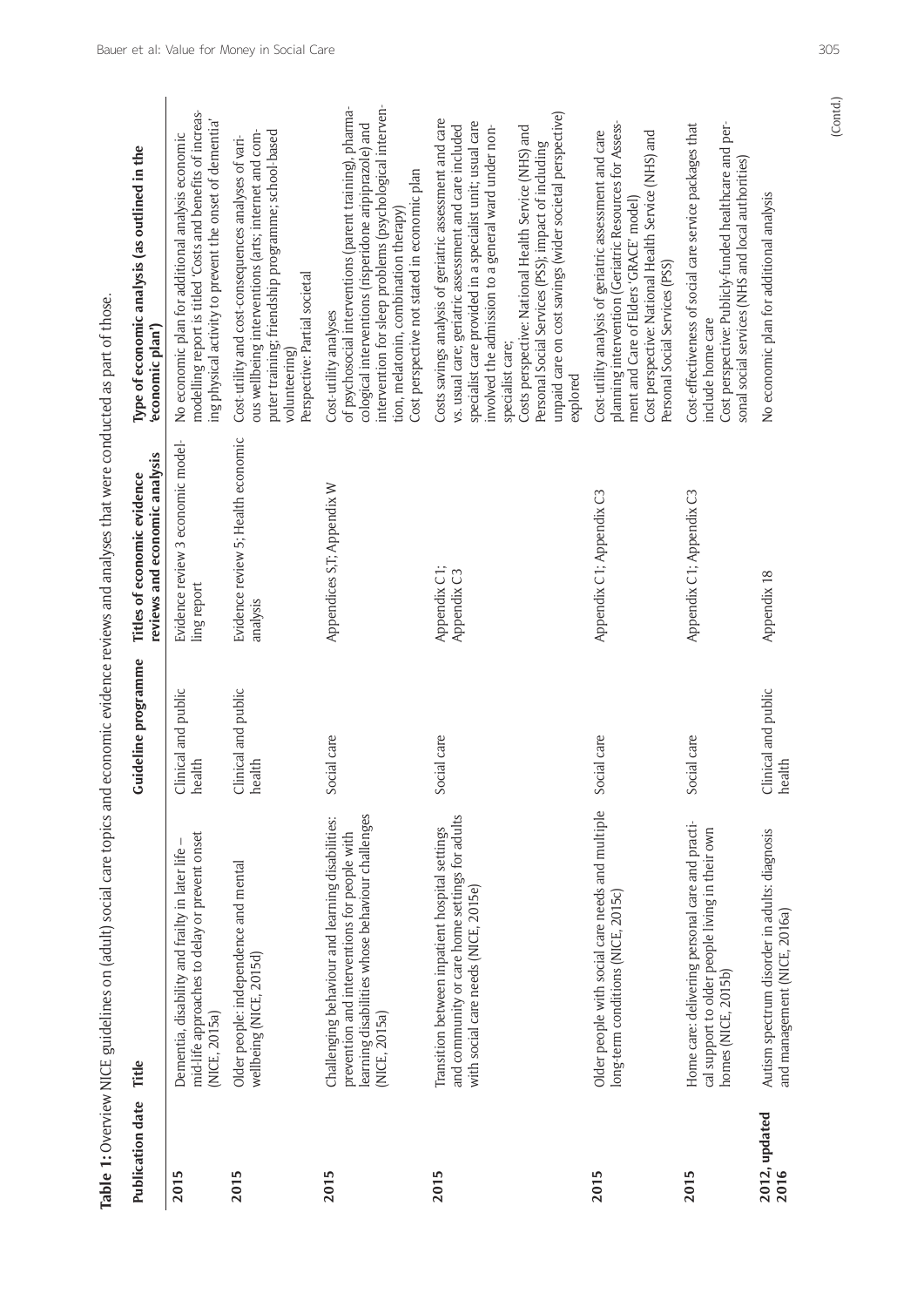| Publication date      | Table 1: Overview NICE guidelines on (adult) social care topics and economic evidence reviews and analyses that were conducted as part of those.<br>Title             | Guideline programme           | Titles of economic evidence                                                       | Type of economic analysis (as outlined in the                                                                                                                                                                                                                                                                                                                                                                                                    |
|-----------------------|-----------------------------------------------------------------------------------------------------------------------------------------------------------------------|-------------------------------|-----------------------------------------------------------------------------------|--------------------------------------------------------------------------------------------------------------------------------------------------------------------------------------------------------------------------------------------------------------------------------------------------------------------------------------------------------------------------------------------------------------------------------------------------|
| 2015                  | mid-life approaches to delay or prevent onset<br>Dementia, disability and frailty in later life<br>(NICE, 2015a)                                                      | Clinical and public<br>health | Evidence review 3 economic model-<br>reviews and economic analysis<br>ling report | modelling report is titled 'Costs and benefits of increas-<br>ing physical activity to prevent the onset of dementia'<br>No economic plan for additional analysis economic<br>'economic plan')                                                                                                                                                                                                                                                   |
| 2015                  | Older people: independence and mental<br>wellbeing (NICE, 2015d)                                                                                                      | Clinical and public<br>health | Evidence review 5; Health economic<br>analysis                                    | puter training; friendship programme; school-based<br>ous wellbeing interventions (arts; internet and com-<br>Cost-utility and cost-consequences analyses of vari-<br>Perspective: Partial societal<br>volunteering)                                                                                                                                                                                                                             |
| 2015                  | learning disabilities whose behaviour challenges<br>Challenging behaviour and learning disabilities:<br>prevention and interventions for people with<br>(NICE, 2015a) | Social care                   | Appendices S,T; Appendix W                                                        | intervention for sleep problems (psychological interven-<br>of psychosocial interventions (parent training), pharma-<br>cological interventions (risperidone aripiprazole) and<br>Cost perspective not stated in economic plan<br>tion, melatonin, combination therapy)<br>Cost-utility analyses                                                                                                                                                 |
| 2015                  | and community or care home settings for adults<br>Transition between inpatient hospital settings<br>with social care needs (NICE, 2015e)                              | Social care                   | Appendix C1;<br>Appendix C3                                                       | unpaid care on cost savings (wider societal perspective)<br>Costs savings analysis of geriatric assessment and care<br>specialist care provided in a specialist unit; usual care<br>vs. usual care; geriatric assessment and care included<br>involved the admission to a general ward under non-<br>Costs perspective: National Health Service (NHS) and<br>Personal Social Services (PSS); impact of including<br>specialist care;<br>explored |
| 2015                  | Older people with social care needs and multiple<br>long-term conditions (NICE, 2015c)                                                                                | Social care                   | Appendix C1; Appendix C3                                                          | planning intervention (Geriatric Resources for Assess-<br>Cost perspective: National Health Service (NHS) and<br>Cost-utility analysis of geriatric assessment and care<br>ment and Care of Elders 'GRACE' model)<br>Personal Social Services (PSS)                                                                                                                                                                                              |
| 2015                  | Home care: delivering personal care and practi-<br>cal support to older people living in their own<br>homes (NICE, 2015b)                                             | Social care                   | Appendix C1; Appendix C3                                                          | Cost perspective: Publicly-funded healthcare and per-<br>Cost-effectiveness of social care service packages that<br>sonal social services (NHS and local authorities)<br>include home care                                                                                                                                                                                                                                                       |
| 2012, updated<br>2016 | Autism spectrum disorder in adults: diagnosis<br>and management (NICE, 2016a)                                                                                         | Clinical and public<br>health | Appendix 18                                                                       | No economic plan for additional analysis                                                                                                                                                                                                                                                                                                                                                                                                         |
|                       |                                                                                                                                                                       |                               |                                                                                   | (Contd.)                                                                                                                                                                                                                                                                                                                                                                                                                                         |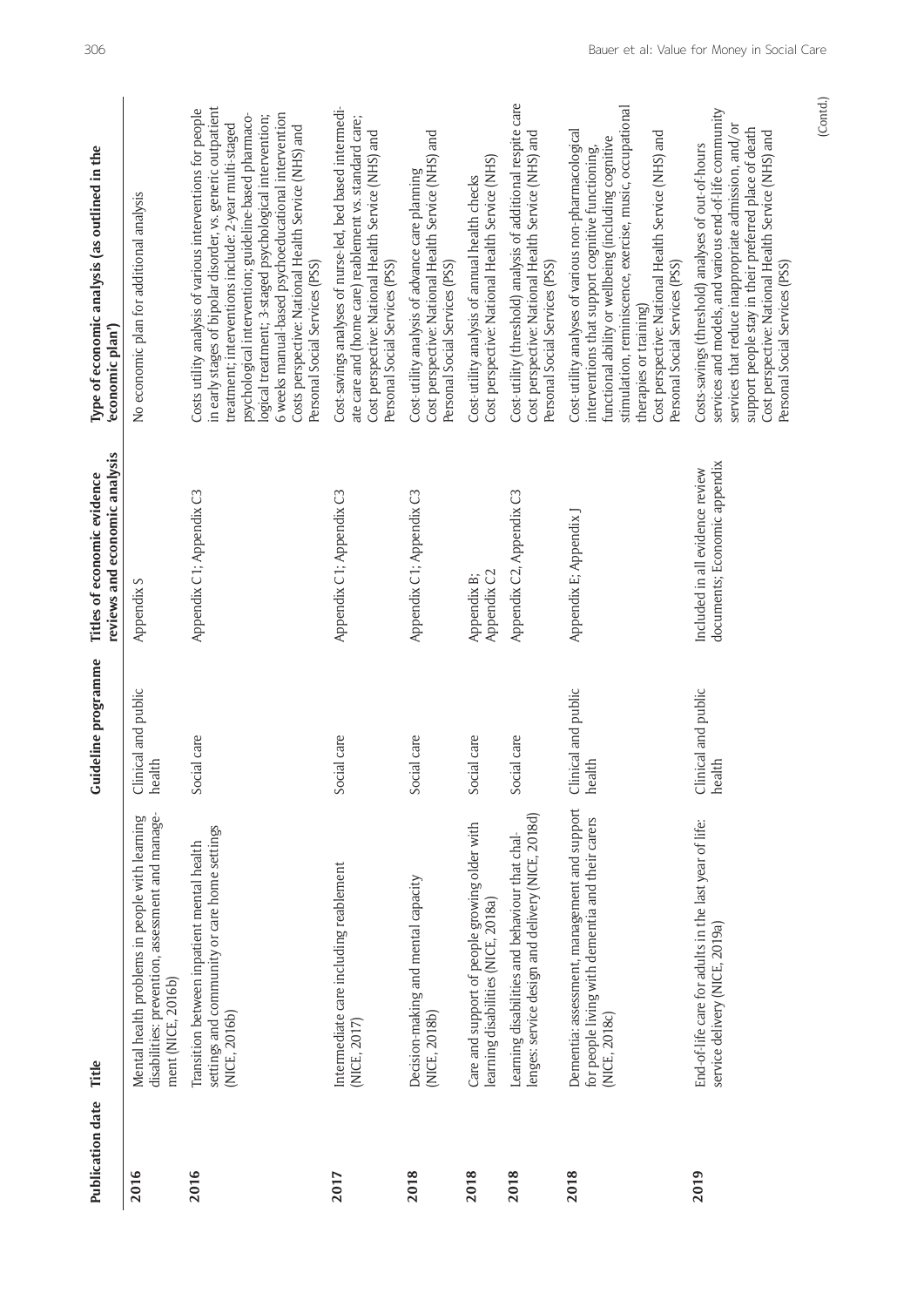| <b>Publication date</b> | Title                                                                                                                    | Guideline programme               | reviews and economic analysis<br>Titles of economic evidence    | Type of economic analysis (as outlined in the<br>economic plan')                                                                                                                                                                                                                                                                                                                                                                                        |
|-------------------------|--------------------------------------------------------------------------------------------------------------------------|-----------------------------------|-----------------------------------------------------------------|---------------------------------------------------------------------------------------------------------------------------------------------------------------------------------------------------------------------------------------------------------------------------------------------------------------------------------------------------------------------------------------------------------------------------------------------------------|
| 2016                    | disabilities: prevention, assessment and manage-<br>Mental health problems in people with learning<br>ment (NICE, 2016b) | Clinical and public<br>health     | Appendix S                                                      | No economic plan for additional analysis                                                                                                                                                                                                                                                                                                                                                                                                                |
| 2016                    | settings and community or care home settings<br>Transition between inpatient mental health<br>(NICE, 2016b)              | Social care                       | Appendix C1; Appendix C3                                        | in early stages of bipolar disorder, vs. generic outpatient<br>Costs utility analysis of various interventions for people<br>6 weeks manual-based psychoeducational intervention<br>psychological intervention; guideline-based pharmaco-<br>logical treatment; 3-staged psychological intervention;<br>treatment; interventions include: 2-year multi-staged<br>Costs perspective: National Health Service (NHS) and<br>Personal Social Services (PSS) |
| 2017                    | Intermediate care including reablement<br>(NICE, 2017)                                                                   | Social care                       | Appendix C1; Appendix C3                                        | Cost-savings analyses of nurse-led, bed based intermedi-<br>ate care and (home care) reablement vs. standard care;<br>Cost perspective: National Health Service (NHS) and<br>Personal Social Services (PSS)                                                                                                                                                                                                                                             |
| 2018                    | Decision-making and mental capacity<br>(NICE, 2018b)                                                                     | Social care                       | Appendix C1; Appendix C3                                        | Cost perspective: National Health Service (NHS) and<br>Cost-utility analysis of advance care planning<br>Personal Social Services (PSS)                                                                                                                                                                                                                                                                                                                 |
| 2018                    | Care and support of people growing older with<br>learning disabilities (NICE, 2018a)                                     | Social care                       | Appendix C2<br>Appendix B;                                      | Cost perspective: National Health Service (NHS)<br>Cost-utility analysis of annual health checks                                                                                                                                                                                                                                                                                                                                                        |
| 2018                    | lenges: service design and delivery (NICE, 2018d)<br>Learning disabilities and behaviour that chal-                      | ial care<br><b>Soc</b>            | Appendix C2, Appendix C3                                        | Cost-utility (threshold) analysis of additional respite care<br>Cost perspective: National Health Service (NHS) and<br>Personal Social Services (PSS)                                                                                                                                                                                                                                                                                                   |
| 2018                    | Dementia: assessment, management and support<br>for people living with dementia and their carers<br>(NICE, 2018c)        | Clinical and public<br>health     | Appendix E; Appendix J                                          | stimulation, reminiscence, exercise, music, occupational<br>Cost-utility analyses of various non-pharmacological<br>Cost perspective: National Health Service (NHS) and<br>functional ability or wellbeing (including cognitive<br>interventions that support cognitive functioning,<br>Personal Social Services (PSS)<br>therapies or training)                                                                                                        |
| 2019                    | End-of-life care for adults in the last year of life:<br>service delivery (NICE, 2019a)                                  | Clinical and public<br>dth<br>hea | documents; Economic appendix<br>Included in all evidence review | services and models, and various end-of-life community<br>services that reduce inappropriate admission, and/or<br>support people stay in their preferred place of death<br>Cost perspective: National Health Service (NHS) and<br>Costs-savings (threshold) analyses of out-of-hours<br>Personal Social Services (PSS)                                                                                                                                  |
|                         |                                                                                                                          |                                   |                                                                 | (Contd.)                                                                                                                                                                                                                                                                                                                                                                                                                                                |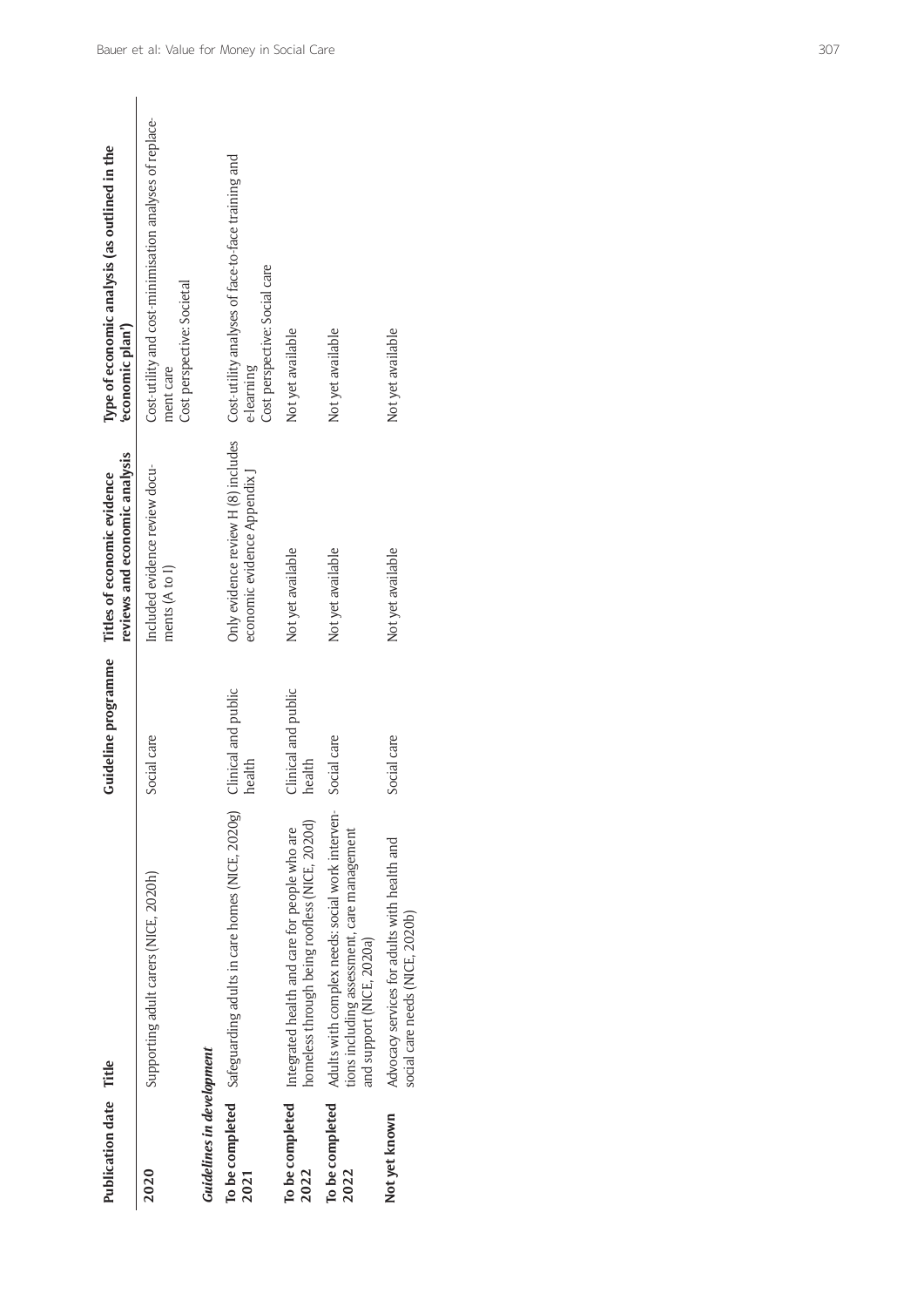| Publication date Title    |                                                                                                                              | <b>Guideline</b> programme    | reviews and economic analysis<br>Titles of economic evidence        | Type of economic analysis (as outlined in the<br>economic plan')                                   |
|---------------------------|------------------------------------------------------------------------------------------------------------------------------|-------------------------------|---------------------------------------------------------------------|----------------------------------------------------------------------------------------------------|
| 2020                      | Supporting adult carers (NICE, 2020h)                                                                                        | Social care                   | Included evidence review docu-<br>ments (A to I)                    | Cost-utility and cost-minimisation analyses of replace-<br>Cost perspective: Societal<br>ment care |
| Guidelines in development |                                                                                                                              |                               |                                                                     |                                                                                                    |
| 2021                      | To be completed Safeguarding adults in care homes (NICE, 2020g)                                                              | Clinical and public<br>health | Only evidence review H (8) includes<br>economic evidence Appendix J | Cost-utility analyses of face-to-face training and<br>Cost perspective: Social care<br>e-learning  |
| To be completed<br>2022   | homeless through being roofless (NICE, 2020d)<br>Integrated health and care for people who are                               | Clinical and public<br>health | Not yet available                                                   | Not yet available                                                                                  |
| To be completed<br>2022   | Adults with complex needs: social work interven-<br>tions including assessment, care management<br>and support (NICE, 2020a) | Social care                   | Not yet available                                                   | Not yet available                                                                                  |
| Not yet known             | Advocacy services for adults with health and<br>social care needs (NICE, 2020b)                                              | Social care                   | Not yet available                                                   | Not yet available                                                                                  |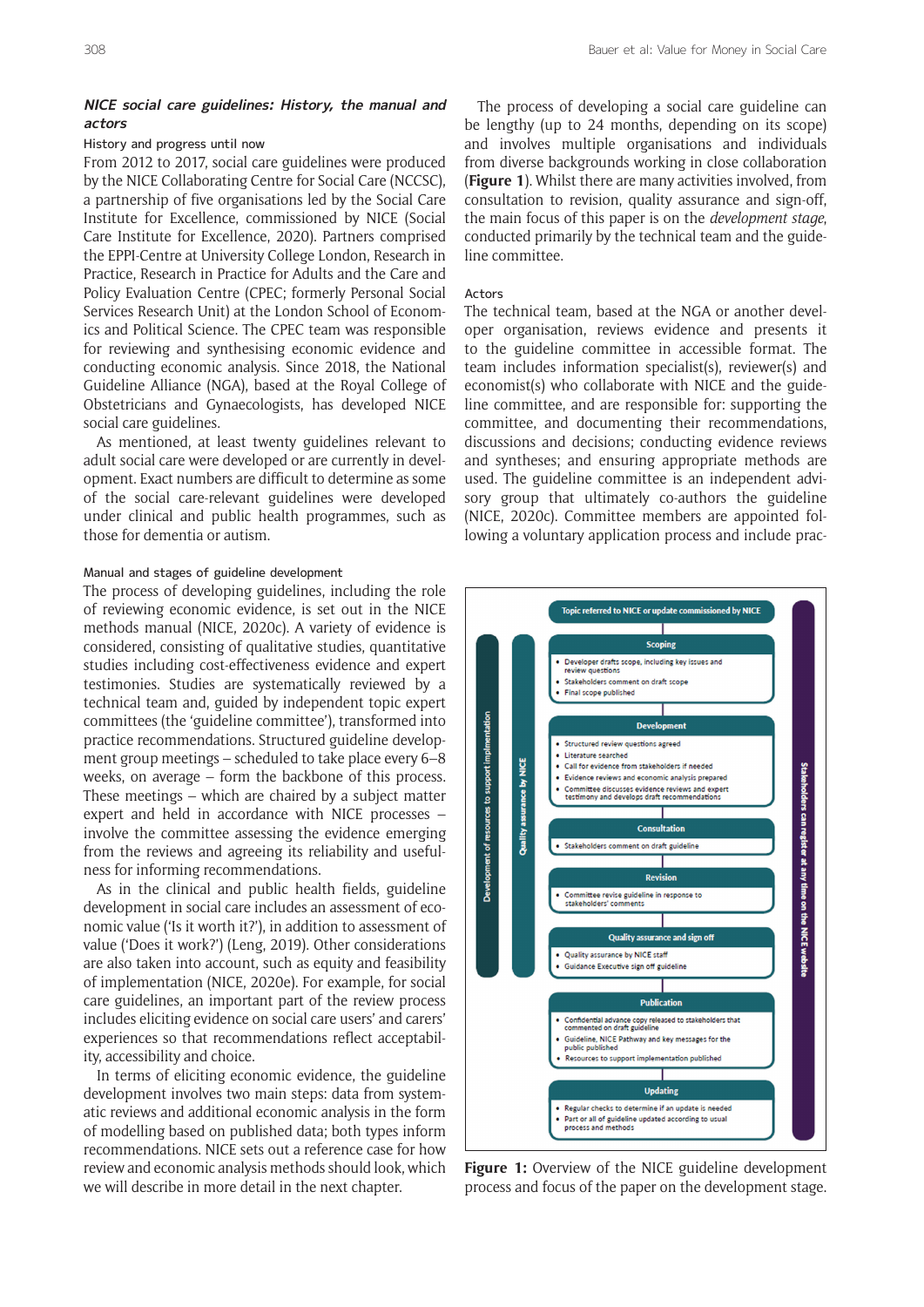## **NICE social care guidelines: History, the manual and actors**

#### History and progress until now

From 2012 to 2017, social care guidelines were produced by the NICE Collaborating Centre for Social Care (NCCSC), a partnership of five organisations led by the Social Care Institute for Excellence, commissioned by NICE (Social Care Institute for Excellence, 2020). Partners comprised the EPPI-Centre at University College London, Research in Practice, Research in Practice for Adults and the Care and Policy Evaluation Centre (CPEC; formerly Personal Social Services Research Unit) at the London School of Economics and Political Science. The CPEC team was responsible for reviewing and synthesising economic evidence and conducting economic analysis. Since 2018, the National Guideline Alliance (NGA), based at the Royal College of Obstetricians and Gynaecologists, has developed NICE social care guidelines.

As mentioned, at least twenty guidelines relevant to adult social care were developed or are currently in development. Exact numbers are difficult to determine as some of the social care-relevant guidelines were developed under clinical and public health programmes, such as those for dementia or autism.

## Manual and stages of guideline development

The process of developing guidelines, including the role of reviewing economic evidence, is set out in the NICE methods manual (NICE, 2020c). A variety of evidence is considered, consisting of qualitative studies, quantitative studies including cost-effectiveness evidence and expert testimonies. Studies are systematically reviewed by a technical team and, guided by independent topic expert committees (the 'guideline committee'), transformed into practice recommendations. Structured guideline development group meetings – scheduled to take place every 6–8 weeks, on average – form the backbone of this process. These meetings – which are chaired by a subject matter expert and held in accordance with NICE processes – involve the committee assessing the evidence emerging from the reviews and agreeing its reliability and usefulness for informing recommendations.

As in the clinical and public health fields, guideline development in social care includes an assessment of economic value ('Is it worth it?'), in addition to assessment of value ('Does it work?') (Leng, 2019). Other considerations are also taken into account, such as equity and feasibility of implementation (NICE, 2020e). For example, for social care guidelines, an important part of the review process includes eliciting evidence on social care users' and carers' experiences so that recommendations reflect acceptability, accessibility and choice.

In terms of eliciting economic evidence, the guideline development involves two main steps: data from systematic reviews and additional economic analysis in the form of modelling based on published data; both types inform recommendations. NICE sets out a reference case for how review and economic analysis methods should look, which we will describe in more detail in the next chapter.

The process of developing a social care guideline can be lengthy (up to 24 months, depending on its scope) and involves multiple organisations and individuals from diverse backgrounds working in close collaboration (**Figure 1**). Whilst there are many activities involved, from consultation to revision, quality assurance and sign-off, the main focus of this paper is on the *development stage*, conducted primarily by the technical team and the guideline committee.

#### Actors

The technical team, based at the NGA or another developer organisation, reviews evidence and presents it to the guideline committee in accessible format. The team includes information specialist(s), reviewer(s) and economist(s) who collaborate with NICE and the guideline committee, and are responsible for: supporting the committee, and documenting their recommendations, discussions and decisions; conducting evidence reviews and syntheses; and ensuring appropriate methods are used. The guideline committee is an independent advisory group that ultimately co-authors the guideline (NICE, 2020c). Committee members are appointed following a voluntary application process and include prac-



**Figure 1:** Overview of the NICE guideline development process and focus of the paper on the development stage.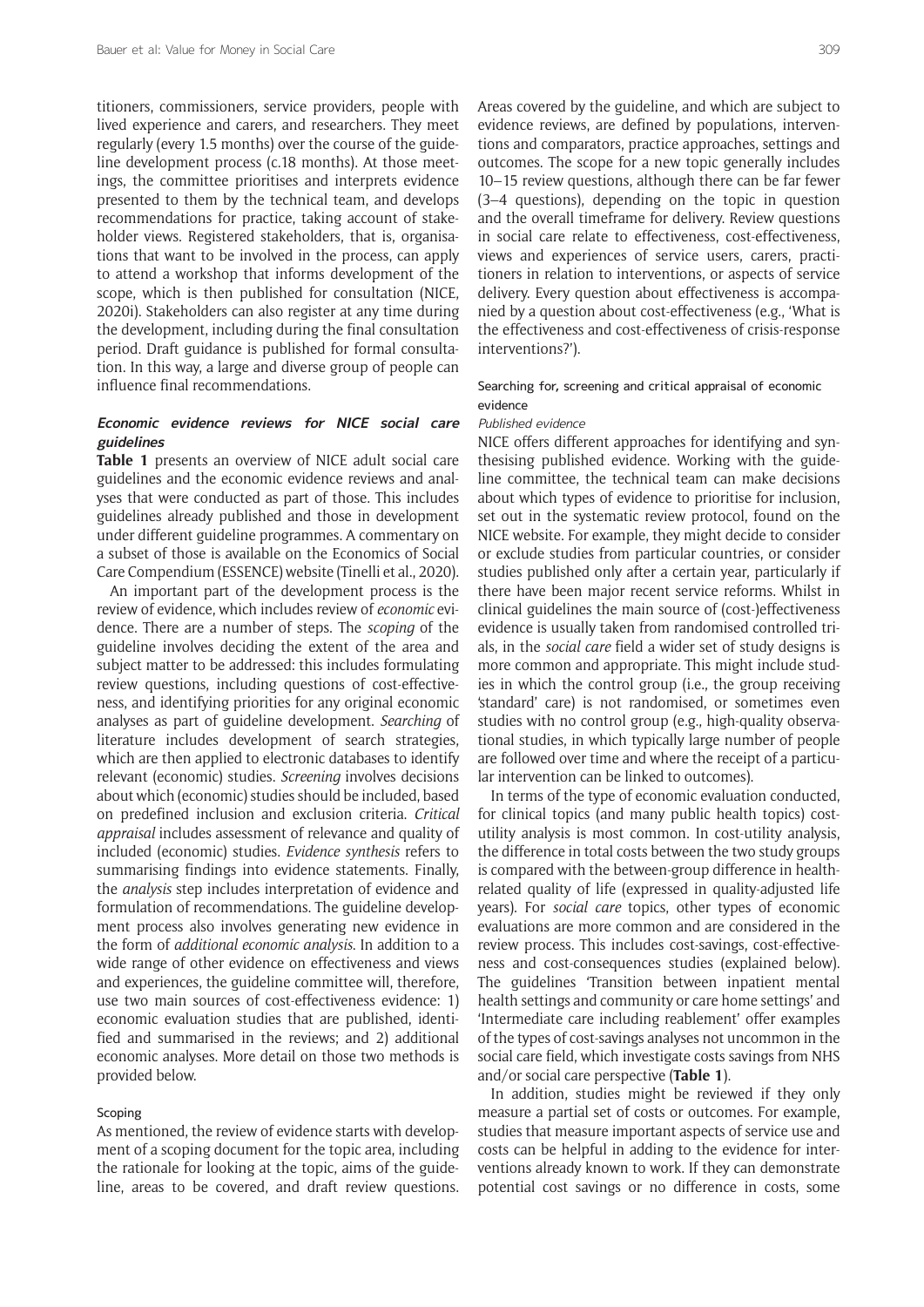titioners, commissioners, service providers, people with lived experience and carers, and researchers. They meet regularly (every 1.5 months) over the course of the guideline development process (c.18 months). At those meetings, the committee prioritises and interprets evidence presented to them by the technical team, and develops recommendations for practice, taking account of stakeholder views. Registered stakeholders, that is, organisations that want to be involved in the process, can apply to attend a workshop that informs development of the scope, which is then published for consultation (NICE, 2020i). Stakeholders can also register at any time during the development, including during the final consultation period. Draft guidance is published for formal consultation. In this way, a large and diverse group of people can influence final recommendations.

## **Economic evidence reviews for NICE social care guidelines**

**Table 1** presents an overview of NICE adult social care guidelines and the economic evidence reviews and analyses that were conducted as part of those. This includes guidelines already published and those in development under different guideline programmes. A commentary on a subset of those is available on the Economics of Social Care Compendium (ESSENCE) website (Tinelli et al., 2020).

An important part of the development process is the review of evidence, which includes review of *economic* evidence. There are a number of steps. The *scoping* of the guideline involves deciding the extent of the area and subject matter to be addressed: this includes formulating review questions, including questions of cost-effectiveness, and identifying priorities for any original economic analyses as part of guideline development. *Searching* of literature includes development of search strategies, which are then applied to electronic databases to identify relevant (economic) studies. *Screening* involves decisions about which (economic) studies should be included, based on predefined inclusion and exclusion criteria. *Critical appraisal* includes assessment of relevance and quality of included (economic) studies. *Evidence synthesis* refers to summarising findings into evidence statements. Finally, the *analysis* step includes interpretation of evidence and formulation of recommendations. The guideline development process also involves generating new evidence in the form of *additional economic analysis*. In addition to a wide range of other evidence on effectiveness and views and experiences, the guideline committee will, therefore, use two main sources of cost-effectiveness evidence: 1) economic evaluation studies that are published, identified and summarised in the reviews; and 2) additional economic analyses. More detail on those two methods is provided below.

## Scoping

As mentioned, the review of evidence starts with development of a scoping document for the topic area, including the rationale for looking at the topic, aims of the guideline, areas to be covered, and draft review questions.

Areas covered by the guideline, and which are subject to evidence reviews, are defined by populations, interventions and comparators, practice approaches, settings and outcomes. The scope for a new topic generally includes 10–15 review questions, although there can be far fewer (3–4 questions), depending on the topic in question and the overall timeframe for delivery. Review questions in social care relate to effectiveness, cost-effectiveness, views and experiences of service users, carers, practitioners in relation to interventions, or aspects of service delivery. Every question about effectiveness is accompanied by a question about cost-effectiveness (e.g., 'What is the effectiveness and cost-effectiveness of crisis-response interventions?').

## Searching for, screening and critical appraisal of economic evidence

#### Published evidence

NICE offers different approaches for identifying and synthesising published evidence. Working with the guideline committee, the technical team can make decisions about which types of evidence to prioritise for inclusion, set out in the systematic review protocol, found on the NICE website. For example, they might decide to consider or exclude studies from particular countries, or consider studies published only after a certain year, particularly if there have been major recent service reforms. Whilst in clinical guidelines the main source of (cost-)effectiveness evidence is usually taken from randomised controlled trials, in the *social care* field a wider set of study designs is more common and appropriate. This might include studies in which the control group (i.e., the group receiving 'standard' care) is not randomised, or sometimes even studies with no control group (e.g., high-quality observational studies, in which typically large number of people are followed over time and where the receipt of a particular intervention can be linked to outcomes).

In terms of the type of economic evaluation conducted, for clinical topics (and many public health topics) costutility analysis is most common. In cost-utility analysis, the difference in total costs between the two study groups is compared with the between-group difference in healthrelated quality of life (expressed in quality-adjusted life years). For *social care* topics, other types of economic evaluations are more common and are considered in the review process. This includes cost-savings, cost-effectiveness and cost-consequences studies (explained below). The guidelines 'Transition between inpatient mental health settings and community or care home settings' and 'Intermediate care including reablement' offer examples of the types of cost-savings analyses not uncommon in the social care field, which investigate costs savings from NHS and/or social care perspective (**Table 1**).

In addition, studies might be reviewed if they only measure a partial set of costs or outcomes. For example, studies that measure important aspects of service use and costs can be helpful in adding to the evidence for interventions already known to work. If they can demonstrate potential cost savings or no difference in costs, some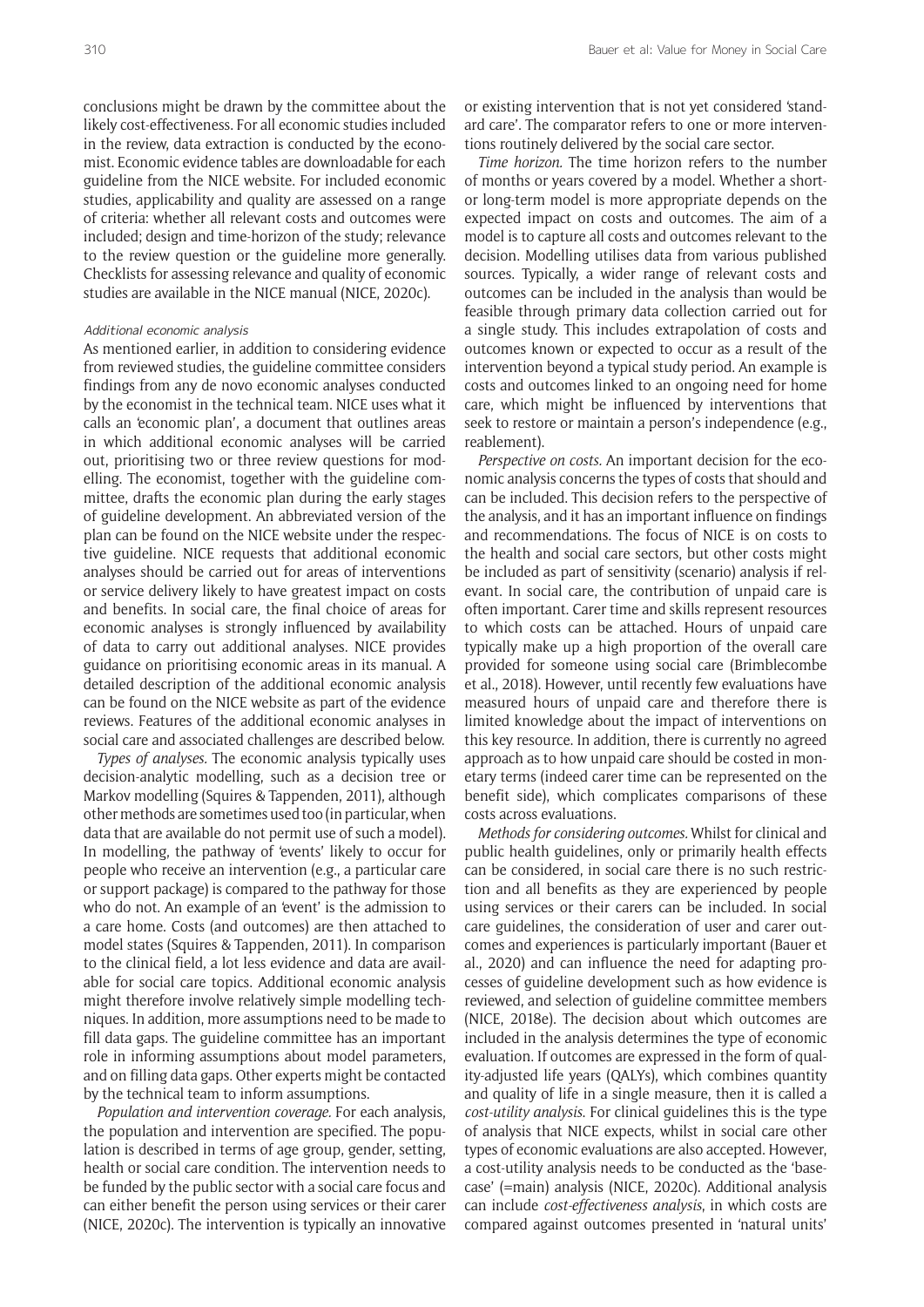conclusions might be drawn by the committee about the likely cost-effectiveness. For all economic studies included in the review, data extraction is conducted by the economist. Economic evidence tables are downloadable for each guideline from the NICE website. For included economic studies, applicability and quality are assessed on a range of criteria: whether all relevant costs and outcomes were included; design and time-horizon of the study; relevance to the review question or the guideline more generally. Checklists for assessing relevance and quality of economic studies are available in the NICE manual (NICE, 2020c).

#### Additional economic analysis

As mentioned earlier, in addition to considering evidence from reviewed studies, the guideline committee considers findings from any de novo economic analyses conducted by the economist in the technical team. NICE uses what it calls an 'economic plan', a document that outlines areas in which additional economic analyses will be carried out, prioritising two or three review questions for modelling. The economist, together with the guideline committee, drafts the economic plan during the early stages of guideline development. An abbreviated version of the plan can be found on the NICE website under the respective guideline. NICE requests that additional economic analyses should be carried out for areas of interventions or service delivery likely to have greatest impact on costs and benefits. In social care, the final choice of areas for economic analyses is strongly influenced by availability of data to carry out additional analyses. NICE provides guidance on prioritising economic areas in its manual. A detailed description of the additional economic analysis can be found on the NICE website as part of the evidence reviews. Features of the additional economic analyses in social care and associated challenges are described below.

*Types of analyses.* The economic analysis typically uses decision-analytic modelling, such as a decision tree or Markov modelling (Squires & Tappenden, 2011), although other methods are sometimes used too (in particular,when data that are available do not permit use of such a model). In modelling, the pathway of 'events' likely to occur for people who receive an intervention (e.g., a particular care or support package) is compared to the pathway for those who do not. An example of an 'event' is the admission to a care home. Costs (and outcomes) are then attached to model states (Squires & Tappenden, 2011). In comparison to the clinical field, a lot less evidence and data are available for social care topics. Additional economic analysis might therefore involve relatively simple modelling techniques. In addition, more assumptions need to be made to fill data gaps. The guideline committee has an important role in informing assumptions about model parameters, and on filling data gaps. Other experts might be contacted by the technical team to inform assumptions.

*Population and intervention coverage.* For each analysis, the population and intervention are specified. The population is described in terms of age group, gender, setting, health or social care condition. The intervention needs to be funded by the public sector with a social care focus and can either benefit the person using services or their carer (NICE, 2020c). The intervention is typically an innovative

or existing intervention that is not yet considered 'standard care'. The comparator refers to one or more interventions routinely delivered by the social care sector.

*Time horizon.* The time horizon refers to the number of months or years covered by a model. Whether a shortor long-term model is more appropriate depends on the expected impact on costs and outcomes. The aim of a model is to capture all costs and outcomes relevant to the decision. Modelling utilises data from various published sources. Typically, a wider range of relevant costs and outcomes can be included in the analysis than would be feasible through primary data collection carried out for a single study. This includes extrapolation of costs and outcomes known or expected to occur as a result of the intervention beyond a typical study period. An example is costs and outcomes linked to an ongoing need for home care, which might be influenced by interventions that seek to restore or maintain a person's independence (e.g., reablement).

*Perspective on costs.* An important decision for the economic analysis concerns the types of costs that should and can be included. This decision refers to the perspective of the analysis, and it has an important influence on findings and recommendations. The focus of NICE is on costs to the health and social care sectors, but other costs might be included as part of sensitivity (scenario) analysis if relevant. In social care, the contribution of unpaid care is often important. Carer time and skills represent resources to which costs can be attached. Hours of unpaid care typically make up a high proportion of the overall care provided for someone using social care (Brimblecombe et al., 2018). However, until recently few evaluations have measured hours of unpaid care and therefore there is limited knowledge about the impact of interventions on this key resource. In addition, there is currently no agreed approach as to how unpaid care should be costed in monetary terms (indeed carer time can be represented on the benefit side), which complicates comparisons of these costs across evaluations.

*Methods for considering outcomes.* Whilst for clinical and public health guidelines, only or primarily health effects can be considered, in social care there is no such restriction and all benefits as they are experienced by people using services or their carers can be included. In social care guidelines, the consideration of user and carer outcomes and experiences is particularly important (Bauer et al., 2020) and can influence the need for adapting processes of guideline development such as how evidence is reviewed, and selection of guideline committee members (NICE, 2018e). The decision about which outcomes are included in the analysis determines the type of economic evaluation. If outcomes are expressed in the form of quality-adjusted life years (QALYs), which combines quantity and quality of life in a single measure, then it is called a *cost-utility analysis*. For clinical guidelines this is the type of analysis that NICE expects, whilst in social care other types of economic evaluations are also accepted. However, a cost-utility analysis needs to be conducted as the 'basecase' (=main) analysis (NICE, 2020c). Additional analysis can include *cost-effectiveness analysis*, in which costs are compared against outcomes presented in 'natural units'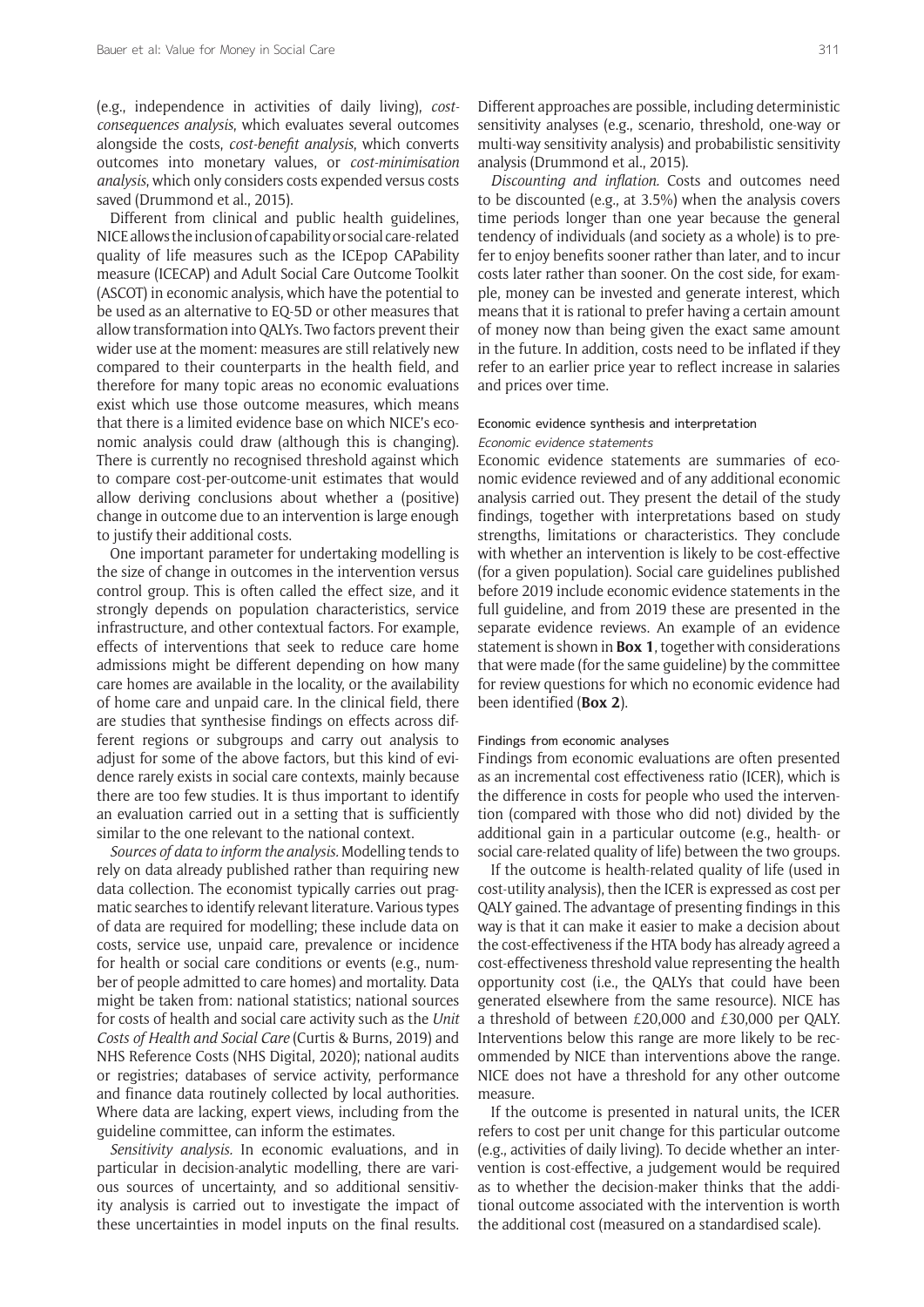(e.g., independence in activities of daily living), *costconsequences analysis*, which evaluates several outcomes alongside the costs, *cost-benefit analysis*, which converts outcomes into monetary values, or *cost-minimisation analysis*, which only considers costs expended versus costs saved (Drummond et al., 2015).

Different from clinical and public health guidelines, NICE allows the inclusion of capability or social care-related quality of life measures such as the ICEpop CAPability measure (ICECAP) and Adult Social Care Outcome Toolkit (ASCOT) in economic analysis, which have the potential to be used as an alternative to EQ-5D or other measures that allowtransformation into QALYs. Two factors prevent their wider use at the moment: measures are still relatively new compared to their counterparts in the health field, and therefore for many topic areas no economic evaluations exist which use those outcome measures, which means that there is a limited evidence base on which NICE's economic analysis could draw (although this is changing). There is currently no recognised threshold against which to compare cost-per-outcome-unit estimates that would allow deriving conclusions about whether a (positive) change in outcome due to an intervention is large enough to justify their additional costs.

One important parameter for undertaking modelling is the size of change in outcomes in the intervention versus control group. This is often called the effect size, and it strongly depends on population characteristics, service infrastructure, and other contextual factors. For example, effects of interventions that seek to reduce care home admissions might be different depending on how many care homes are available in the locality, or the availability of home care and unpaid care. In the clinical field, there are studies that synthesise findings on effects across different regions or subgroups and carry out analysis to adjust for some of the above factors, but this kind of evidence rarely exists in social care contexts, mainly because there are too few studies. It is thus important to identify an evaluation carried out in a setting that is sufficiently similar to the one relevant to the national context.

*Sources of data to inform the analysis.* Modelling tends to rely on data already published rather than requiring new data collection. The economist typically carries out pragmatic searches to identify relevant literature. Various types of data are required for modelling; these include data on costs, service use, unpaid care, prevalence or incidence for health or social care conditions or events (e.g., number of people admitted to care homes) and mortality. Data might be taken from: national statistics; national sources for costs of health and social care activity such as the *Unit Costs of Health and Social Care* (Curtis & Burns, 2019) and NHS Reference Costs (NHS Digital, 2020); national audits or registries; databases of service activity, performance and finance data routinely collected by local authorities. Where data are lacking, expert views, including from the guideline committee, can inform the estimates.

*Sensitivity analysis.* In economic evaluations, and in particular in decision-analytic modelling, there are various sources of uncertainty, and so additional sensitivity analysis is carried out to investigate the impact of these uncertainties in model inputs on the final results.

Different approaches are possible, including deterministic sensitivity analyses (e.g., scenario, threshold, one-way or multi-way sensitivity analysis) and probabilistic sensitivity analysis (Drummond et al., 2015).

*Discounting and inflation.* Costs and outcomes need to be discounted (e.g., at 3.5%) when the analysis covers time periods longer than one year because the general tendency of individuals (and society as a whole) is to prefer to enjoy benefits sooner rather than later, and to incur costs later rather than sooner. On the cost side, for example, money can be invested and generate interest, which means that it is rational to prefer having a certain amount of money now than being given the exact same amount in the future. In addition, costs need to be inflated if they refer to an earlier price year to reflect increase in salaries and prices over time.

## Economic evidence synthesis and interpretation Economic evidence statements

Economic evidence statements are summaries of economic evidence reviewed and of any additional economic analysis carried out. They present the detail of the study findings, together with interpretations based on study strengths, limitations or characteristics. They conclude with whether an intervention is likely to be cost-effective (for a given population). Social care guidelines published before 2019 include economic evidence statements in the full guideline, and from 2019 these are presented in the separate evidence reviews. An example of an evidence statement isshown in **Box 1**, together with considerations that were made (for the same guideline) by the committee for review questions for which no economic evidence had been identified (**Box 2**).

#### Findings from economic analyses

Findings from economic evaluations are often presented as an incremental cost effectiveness ratio (ICER), which is the difference in costs for people who used the intervention (compared with those who did not) divided by the additional gain in a particular outcome (e.g., health- or social care-related quality of life) between the two groups.

If the outcome is health-related quality of life (used in cost-utility analysis), then the ICER is expressed as cost per QALY gained. The advantage of presenting findings in this way is that it can make it easier to make a decision about the cost-effectiveness if the HTA body has already agreed a cost-effectiveness threshold value representing the health opportunity cost (i.e., the QALYs that could have been generated elsewhere from the same resource). NICE has a threshold of between £20,000 and £30,000 per QALY. Interventions below this range are more likely to be recommended by NICE than interventions above the range. NICE does not have a threshold for any other outcome measure.

If the outcome is presented in natural units, the ICER refers to cost per unit change for this particular outcome (e.g., activities of daily living). To decide whether an intervention is cost-effective, a judgement would be required as to whether the decision-maker thinks that the additional outcome associated with the intervention is worth the additional cost (measured on a standardised scale).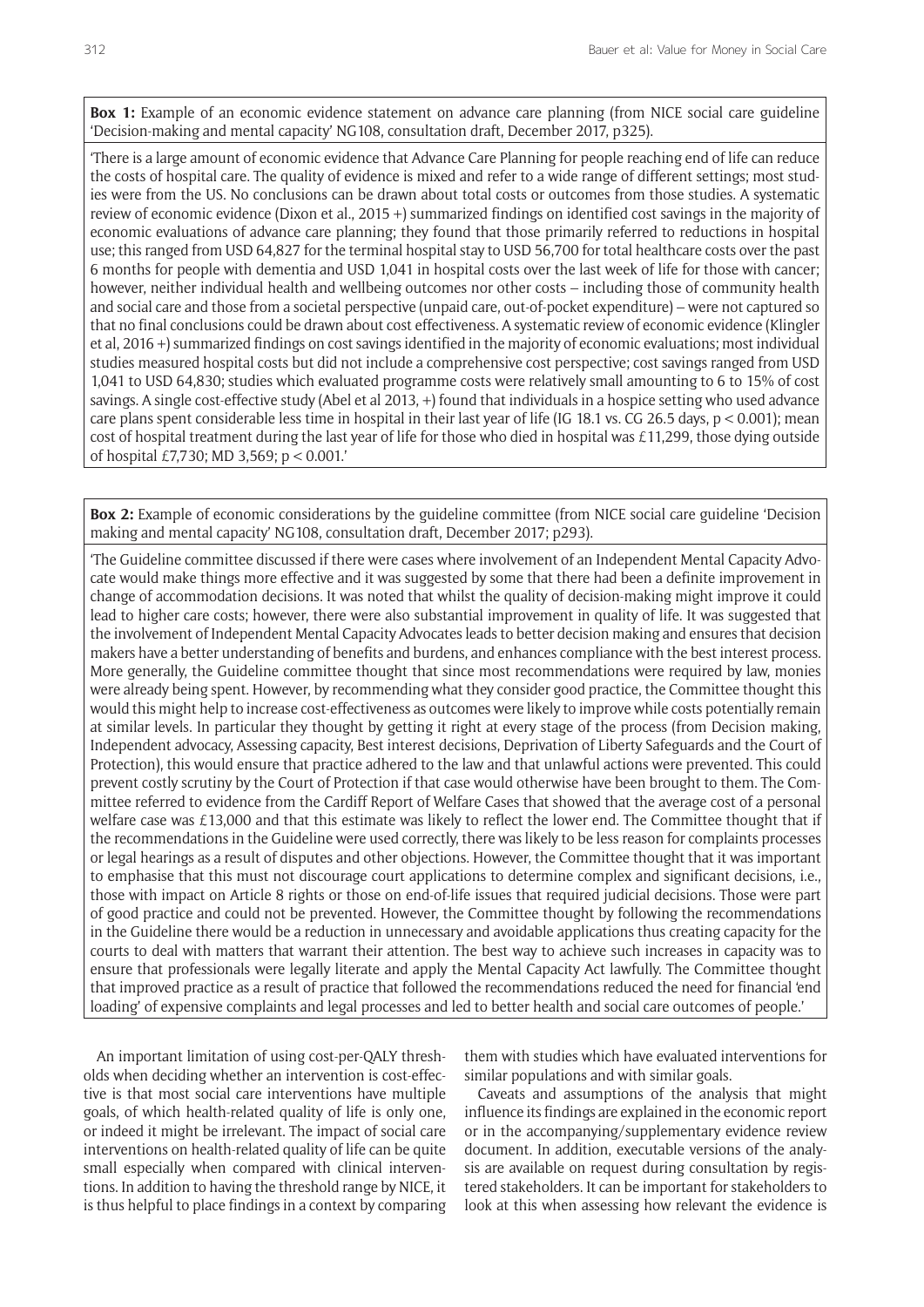**Box 1:** Example of an economic evidence statement on advance care planning (from NICE social care guideline 'Decision-making and mental capacity' NG108, consultation draft, December 2017, p325).

'There is a large amount of economic evidence that Advance Care Planning for people reaching end of life can reduce the costs of hospital care. The quality of evidence is mixed and refer to a wide range of different settings; most studies were from the US. No conclusions can be drawn about total costs or outcomes from those studies. A systematic review of economic evidence (Dixon et al., 2015 +) summarized findings on identified cost savings in the majority of economic evaluations of advance care planning; they found that those primarily referred to reductions in hospital use; this ranged from USD 64,827 for the terminal hospital stay to USD 56,700 for total healthcare costs over the past 6 months for people with dementia and USD 1,041 in hospital costs over the last week of life for those with cancer; however, neither individual health and wellbeing outcomes nor other costs – including those of community health and social care and those from a societal perspective (unpaid care, out-of-pocket expenditure) – were not captured so that no final conclusions could be drawn about cost effectiveness. A systematic review of economic evidence (Klingler et al, 2016 +) summarized findings on cost savings identified in the majority of economic evaluations; most individual studies measured hospital costs but did not include a comprehensive cost perspective; cost savings ranged from USD 1,041 to USD 64,830; studies which evaluated programme costs were relatively small amounting to 6 to 15% of cost savings. A single cost-effective study (Abel et al 2013, +) found that individuals in a hospice setting who used advance care plans spent considerable less time in hospital in their last year of life (IG 18.1 vs. CG 26.5 days, p < 0.001); mean cost of hospital treatment during the last year of life for those who died in hospital was  $£11,299$ , those dying outside of hospital £7,730; MD 3,569; p < 0.001.'

**Box 2:** Example of economic considerations by the guideline committee (from NICE social care guideline 'Decision making and mental capacity' NG108, consultation draft, December 2017; p293).

'The Guideline committee discussed if there were cases where involvement of an Independent Mental Capacity Advocate would make things more effective and it was suggested by some that there had been a definite improvement in change of accommodation decisions. It was noted that whilst the quality of decision-making might improve it could lead to higher care costs; however, there were also substantial improvement in quality of life. It was suggested that the involvement of Independent Mental Capacity Advocates leads to better decision making and ensures that decision makers have a better understanding of benefits and burdens, and enhances compliance with the best interest process. More generally, the Guideline committee thought that since most recommendations were required by law, monies were already being spent. However, by recommending what they consider good practice, the Committee thought this would this might help to increase cost-effectiveness as outcomes were likely to improve while costs potentially remain at similar levels. In particular they thought by getting it right at every stage of the process (from Decision making, Independent advocacy, Assessing capacity, Best interest decisions, Deprivation of Liberty Safeguards and the Court of Protection), this would ensure that practice adhered to the law and that unlawful actions were prevented. This could prevent costly scrutiny by the Court of Protection if that case would otherwise have been brought to them. The Committee referred to evidence from the Cardiff Report of Welfare Cases that showed that the average cost of a personal welfare case was £13,000 and that this estimate was likely to reflect the lower end. The Committee thought that if the recommendations in the Guideline were used correctly, there was likely to be less reason for complaints processes or legal hearings as a result of disputes and other objections. However, the Committee thought that it was important to emphasise that this must not discourage court applications to determine complex and significant decisions, i.e., those with impact on Article 8 rights or those on end-of-life issues that required judicial decisions. Those were part of good practice and could not be prevented. However, the Committee thought by following the recommendations in the Guideline there would be a reduction in unnecessary and avoidable applications thus creating capacity for the courts to deal with matters that warrant their attention. The best way to achieve such increases in capacity was to ensure that professionals were legally literate and apply the Mental Capacity Act lawfully. The Committee thought that improved practice as a result of practice that followed the recommendations reduced the need for financial 'end loading' of expensive complaints and legal processes and led to better health and social care outcomes of people.'

An important limitation of using cost-per-QALY thresholds when deciding whether an intervention is cost-effective is that most social care interventions have multiple goals, of which health-related quality of life is only one, or indeed it might be irrelevant. The impact of social care interventions on health-related quality of life can be quite small especially when compared with clinical interventions. In addition to having the threshold range by NICE, it is thus helpful to place findings in a context by comparing them with studies which have evaluated interventions for similar populations and with similar goals.

Caveats and assumptions of the analysis that might influence its findings are explained in the economic report or in the accompanying/supplementary evidence review document. In addition, executable versions of the analysis are available on request during consultation by registered stakeholders. It can be important for stakeholders to look at this when assessing how relevant the evidence is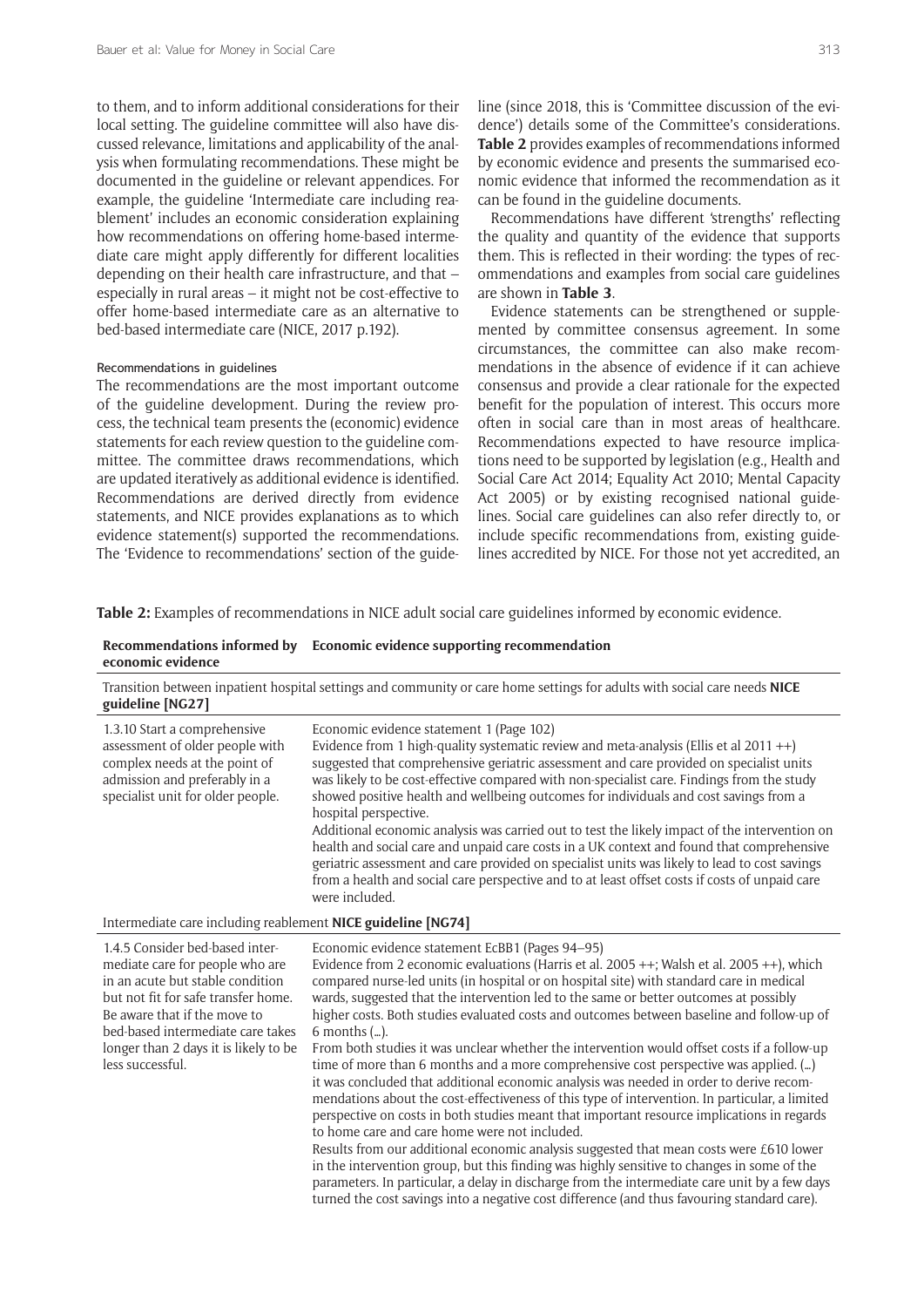to them, and to inform additional considerations for their local setting. The guideline committee will also have discussed relevance, limitations and applicability of the analysis when formulating recommendations. These might be documented in the guideline or relevant appendices. For example, the guideline 'Intermediate care including reablement' includes an economic consideration explaining how recommendations on offering home-based intermediate care might apply differently for different localities depending on their health care infrastructure, and that – especially in rural areas – it might not be cost-effective to offer home-based intermediate care as an alternative to bed-based intermediate care (NICE, 2017 p.192).

#### Recommendations in guidelines

The recommendations are the most important outcome of the guideline development. During the review process, the technical team presents the (economic) evidence statements for each review question to the guideline committee. The committee draws recommendations, which are updated iteratively as additional evidence is identified. Recommendations are derived directly from evidence statements, and NICE provides explanations as to which evidence statement(s) supported the recommendations. The 'Evidence to recommendations' section of the guideline (since 2018, this is 'Committee discussion of the evidence') details some of the Committee's considerations. **Table 2** provides examples of recommendations informed by economic evidence and presents the summarised economic evidence that informed the recommendation as it can be found in the guideline documents.

Recommendations have different 'strengths' reflecting the quality and quantity of the evidence that supports them. This is reflected in their wording: the types of recommendations and examples from social care guidelines are shown in **Table 3**.

Evidence statements can be strengthened or supplemented by committee consensus agreement. In some circumstances, the committee can also make recommendations in the absence of evidence if it can achieve consensus and provide a clear rationale for the expected benefit for the population of interest. This occurs more often in social care than in most areas of healthcare. Recommendations expected to have resource implications need to be supported by legislation (e.g., Health and Social Care Act 2014; Equality Act 2010; Mental Capacity Act 2005) or by existing recognised national guidelines. Social care guidelines can also refer directly to, or include specific recommendations from, existing guidelines accredited by NICE. For those not yet accredited, an

**Table 2:** Examples of recommendations in NICE adult social care guidelines informed by economic evidence.

#### **Recommendations informed by Economic evidence supporting recommendation economic evidence**

Transition between inpatient hospital settings and community or care home settings for adults with social care needs **NICE guideline [NG27]**

| 1.3.10 Start a comprehensive<br>assessment of older people with<br>complex needs at the point of<br>admission and preferably in a<br>specialist unit for older people. | Economic evidence statement 1 (Page 102)<br>Evidence from 1 high-quality systematic review and meta-analysis (Ellis et al 2011 $++$ )<br>suggested that comprehensive geriatric assessment and care provided on specialist units<br>was likely to be cost-effective compared with non-specialist care. Findings from the study<br>showed positive health and wellbeing outcomes for individuals and cost savings from a<br>hospital perspective.<br>Additional economic analysis was carried out to test the likely impact of the intervention on<br>health and social care and unpaid care costs in a UK context and found that comprehensive<br>geriatric assessment and care provided on specialist units was likely to lead to cost savings<br>from a health and social care perspective and to at least offset costs if costs of unpaid care<br>were included. |
|------------------------------------------------------------------------------------------------------------------------------------------------------------------------|---------------------------------------------------------------------------------------------------------------------------------------------------------------------------------------------------------------------------------------------------------------------------------------------------------------------------------------------------------------------------------------------------------------------------------------------------------------------------------------------------------------------------------------------------------------------------------------------------------------------------------------------------------------------------------------------------------------------------------------------------------------------------------------------------------------------------------------------------------------------|
| Intermediate care including reablement NICE guideline [NG74]                                                                                                           |                                                                                                                                                                                                                                                                                                                                                                                                                                                                                                                                                                                                                                                                                                                                                                                                                                                                     |

| memorante care meruding reductions river garacting prover                                                                                                                                                                                                                       |                                                                                                                                                                                                                                                                                                                                                                                                                                                                                                                                                                                                                                                                                                                                                                                                                                                                                                                                                                                                                                                                                                                                                                                                                                                                                                                                                                                             |
|---------------------------------------------------------------------------------------------------------------------------------------------------------------------------------------------------------------------------------------------------------------------------------|---------------------------------------------------------------------------------------------------------------------------------------------------------------------------------------------------------------------------------------------------------------------------------------------------------------------------------------------------------------------------------------------------------------------------------------------------------------------------------------------------------------------------------------------------------------------------------------------------------------------------------------------------------------------------------------------------------------------------------------------------------------------------------------------------------------------------------------------------------------------------------------------------------------------------------------------------------------------------------------------------------------------------------------------------------------------------------------------------------------------------------------------------------------------------------------------------------------------------------------------------------------------------------------------------------------------------------------------------------------------------------------------|
| 1.4.5 Consider bed-based inter-<br>mediate care for people who are<br>in an acute but stable condition<br>but not fit for safe transfer home.<br>Be aware that if the move to<br>bed-based intermediate care takes<br>longer than 2 days it is likely to be<br>less successful. | Economic evidence statement EcBB1 (Pages 94–95)<br>Evidence from 2 economic evaluations (Harris et al. $2005 +$ +; Walsh et al. $2005 +$ +), which<br>compared nurse-led units (in hospital or on hospital site) with standard care in medical<br>wards, suggested that the intervention led to the same or better outcomes at possibly<br>higher costs. Both studies evaluated costs and outcomes between baseline and follow-up of<br>$6$ months $(\ldots)$ .<br>From both studies it was unclear whether the intervention would offset costs if a follow-up<br>time of more than 6 months and a more comprehensive cost perspective was applied. ()<br>it was concluded that additional economic analysis was needed in order to derive recom-<br>mendations about the cost-effectiveness of this type of intervention. In particular, a limited<br>perspective on costs in both studies meant that important resource implications in regards<br>to home care and care home were not included.<br>Results from our additional economic analysis suggested that mean costs were £610 lower<br>in the intervention group, but this finding was highly sensitive to changes in some of the<br>parameters. In particular, a delay in discharge from the intermediate care unit by a few days<br>turned the cost savings into a negative cost difference (and thus favouring standard care). |
|                                                                                                                                                                                                                                                                                 |                                                                                                                                                                                                                                                                                                                                                                                                                                                                                                                                                                                                                                                                                                                                                                                                                                                                                                                                                                                                                                                                                                                                                                                                                                                                                                                                                                                             |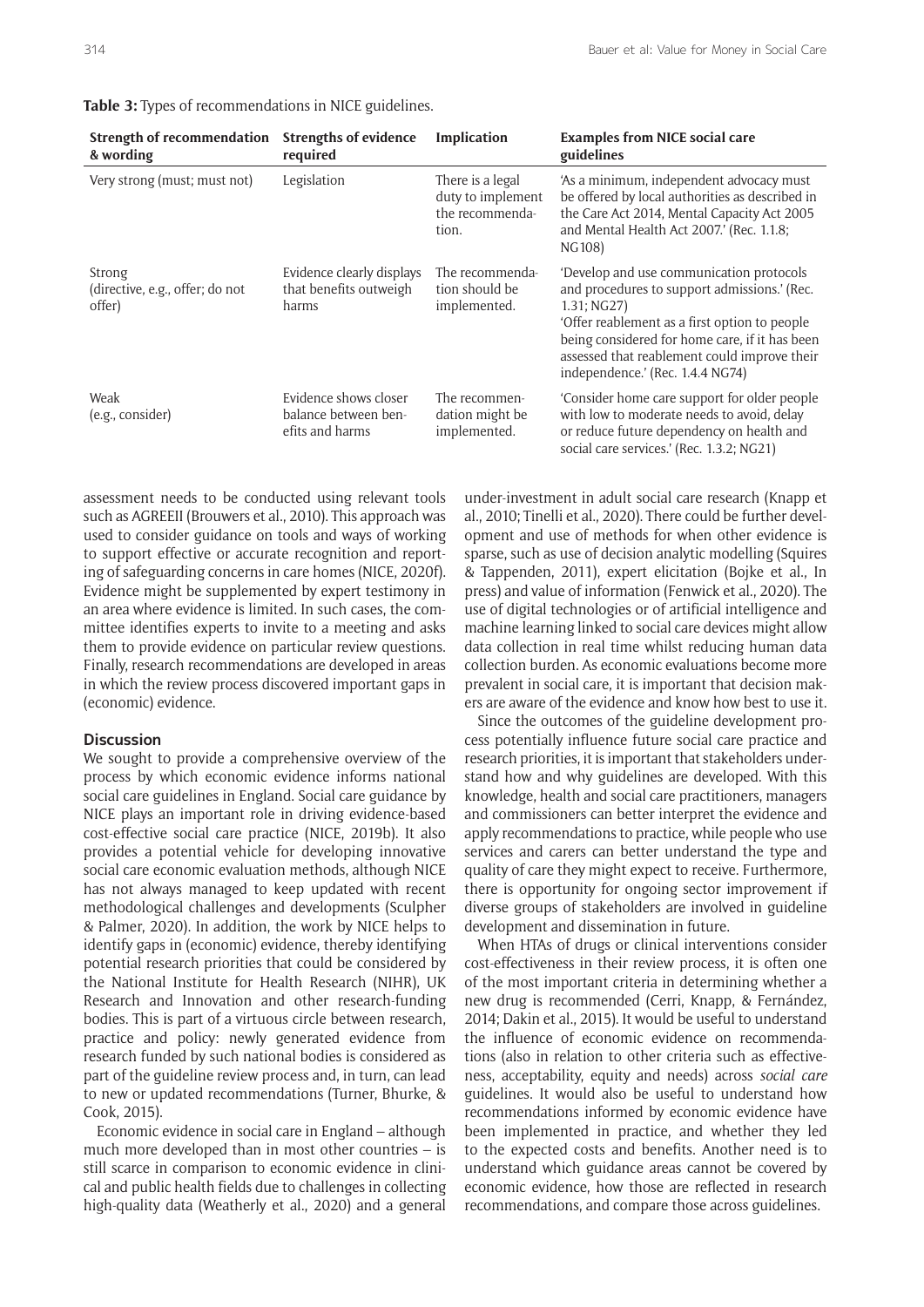| Strength of recommendation<br>& wording             | <b>Strengths of evidence</b><br>required                         | Implication                                                       | <b>Examples from NICE social care</b><br>guidelines                                                                                                                                                                                                                                               |
|-----------------------------------------------------|------------------------------------------------------------------|-------------------------------------------------------------------|---------------------------------------------------------------------------------------------------------------------------------------------------------------------------------------------------------------------------------------------------------------------------------------------------|
| Very strong (must; must not)                        | Legislation                                                      | There is a legal<br>duty to implement<br>the recommenda-<br>tion. | 'As a minimum, independent advocacy must<br>be offered by local authorities as described in<br>the Care Act 2014, Mental Capacity Act 2005<br>and Mental Health Act 2007.' (Rec. 1.1.8;<br>NG108)                                                                                                 |
| Strong<br>(directive, e.g., offer; do not<br>offer) | Evidence clearly displays<br>that benefits outweigh<br>harms     | The recommenda-<br>tion should be<br>implemented.                 | 'Develop and use communication protocols<br>and procedures to support admissions.' (Rec.<br>$1.31$ ; NG27)<br>'Offer reablement as a first option to people<br>being considered for home care, if it has been<br>assessed that reablement could improve their<br>independence.' (Rec. 1.4.4 NG74) |
| Weak<br>(e.g., consider)                            | Evidence shows closer<br>balance between ben-<br>efits and harms | The recommen-<br>dation might be<br>implemented.                  | 'Consider home care support for older people<br>with low to moderate needs to avoid, delay<br>or reduce future dependency on health and<br>social care services.' (Rec. 1.3.2; NG21)                                                                                                              |

#### **Table 3:** Types of recommendations in NICE guidelines.

assessment needs to be conducted using relevant tools such as AGREEII (Brouwers et al., 2010). This approach was used to consider guidance on tools and ways of working to support effective or accurate recognition and reporting of safeguarding concerns in care homes (NICE, 2020f). Evidence might be supplemented by expert testimony in an area where evidence is limited. In such cases, the committee identifies experts to invite to a meeting and asks them to provide evidence on particular review questions. Finally, research recommendations are developed in areas in which the review process discovered important gaps in (economic) evidence.

## **Discussion**

We sought to provide a comprehensive overview of the process by which economic evidence informs national social care guidelines in England. Social care guidance by NICE plays an important role in driving evidence-based cost-effective social care practice (NICE, 2019b). It also provides a potential vehicle for developing innovative social care economic evaluation methods, although NICE has not always managed to keep updated with recent methodological challenges and developments (Sculpher & Palmer, 2020). In addition, the work by NICE helps to identify gaps in (economic) evidence, thereby identifying potential research priorities that could be considered by the National Institute for Health Research (NIHR), UK Research and Innovation and other research-funding bodies. This is part of a virtuous circle between research, practice and policy: newly generated evidence from research funded by such national bodies is considered as part of the guideline review process and, in turn, can lead to new or updated recommendations (Turner, Bhurke, & Cook, 2015).

Economic evidence in social care in England – although much more developed than in most other countries – is still scarce in comparison to economic evidence in clinical and public health fields due to challenges in collecting high-quality data (Weatherly et al., 2020) and a general

under-investment in adult social care research (Knapp et al., 2010; Tinelli et al., 2020). There could be further development and use of methods for when other evidence is sparse, such as use of decision analytic modelling (Squires & Tappenden, 2011), expert elicitation (Bojke et al., In press) and value of information (Fenwick et al., 2020). The use of digital technologies or of artificial intelligence and machine learning linked to social care devices might allow data collection in real time whilst reducing human data collection burden. As economic evaluations become more prevalent in social care, it is important that decision makers are aware of the evidence and know how best to use it.

Since the outcomes of the guideline development process potentially influence future social care practice and research priorities, it is important that stakeholders understand how and why guidelines are developed. With this knowledge, health and social care practitioners, managers and commissioners can better interpret the evidence and apply recommendations to practice, while people who use services and carers can better understand the type and quality of care they might expect to receive. Furthermore, there is opportunity for ongoing sector improvement if diverse groups of stakeholders are involved in guideline development and dissemination in future.

When HTAs of drugs or clinical interventions consider cost-effectiveness in their review process, it is often one of the most important criteria in determining whether a new drug is recommended (Cerri, Knapp, & Fernández, 2014; Dakin et al., 2015). It would be useful to understand the influence of economic evidence on recommendations (also in relation to other criteria such as effectiveness, acceptability, equity and needs) across *social care* guidelines. It would also be useful to understand how recommendations informed by economic evidence have been implemented in practice, and whether they led to the expected costs and benefits. Another need is to understand which guidance areas cannot be covered by economic evidence, how those are reflected in research recommendations, and compare those across guidelines.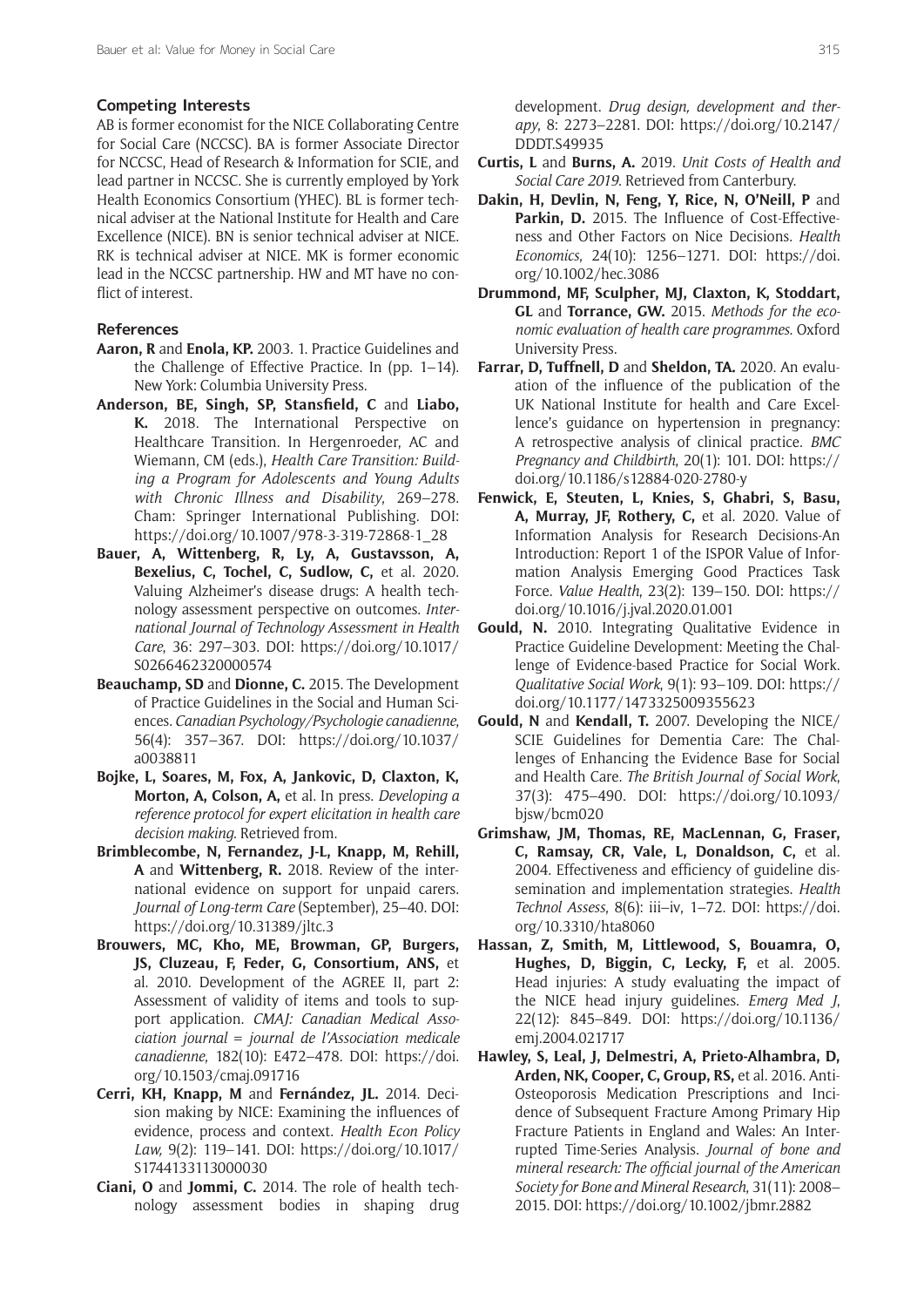#### **Competing Interests**

AB is former economist for the NICE Collaborating Centre for Social Care (NCCSC). BA is former Associate Director for NCCSC, Head of Research & Information for SCIE, and lead partner in NCCSC. She is currently employed by York Health Economics Consortium (YHEC). BL is former technical adviser at the National Institute for Health and Care Excellence (NICE). BN is senior technical adviser at NICE. RK is technical adviser at NICE. MK is former economic lead in the NCCSC partnership. HW and MT have no conflict of interest.

## **References**

- **Aaron, R** and **Enola, KP.** 2003. 1. Practice Guidelines and the Challenge of Effective Practice. In (pp. 1–14). New York: Columbia University Press.
- **Anderson, BE, Singh, SP, Stansfield, C** and **Liabo, K.** 2018. The International Perspective on Healthcare Transition. In Hergenroeder, AC and Wiemann, CM (eds.), *Health Care Transition: Building a Program for Adolescents and Young Adults with Chronic Illness and Disability*, 269–278. Cham: Springer International Publishing. DOI: [https://doi.org/10.1007/978-3-319-72868-1\\_28](https://doi.org/10.1007/978-3-319-72868-1_28)
- **Bauer, A, Wittenberg, R, Ly, A, Gustavsson, A,**  Bexelius, C, Tochel, C, Sudlow, C, et al. 2020. Valuing Alzheimer's disease drugs: A health technology assessment perspective on outcomes. *International Journal of Technology Assessment in Health Care*, 36: 297–303. DOI: [https://doi.org/10.1017/](https://doi.org/10.1017/S0266462320000574) [S0266462320000574](https://doi.org/10.1017/S0266462320000574)
- **Beauchamp, SD** and **Dionne, C.** 2015. The Development of Practice Guidelines in the Social and Human Sciences. *Canadian Psychology/Psychologie canadienne*, 56(4): 357–367. DOI: [https://doi.org/10.1037/](https://doi.org/10.1037/a0038811) [a0038811](https://doi.org/10.1037/a0038811)
- **Bojke, L, Soares, M, Fox, A, Jankovic, D, Claxton, K, Morton, A, Colson, A,** et al. In press. *Developing a reference protocol for expert elicitation in health care decision making.* Retrieved from.
- **Brimblecombe, N, Fernandez, J-L, Knapp, M, Rehill, A** and **Wittenberg, R.** 2018. Review of the international evidence on support for unpaid carers. *Journal of Long-term Care* (September), 25–40. DOI: <https://doi.org/10.31389/jltc.3>
- **Brouwers, MC, Kho, ME, Browman, GP, Burgers, JS, Cluzeau, F, Feder, G, Consortium, ANS,** et al. 2010. Development of the AGREE II, part 2: Assessment of validity of items and tools to support application. *CMAJ: Canadian Medical Association journal = journal de l'Association medicale canadienne*, 182(10): E472–478. DOI: [https://doi.](https://doi.org/10.1503/cmaj.091716) [org/10.1503/cmaj.091716](https://doi.org/10.1503/cmaj.091716)
- **Cerri, KH, Knapp, M** and **Fernández, JL.** 2014. Decision making by NICE: Examining the influences of evidence, process and context. *Health Econ Policy Law,* 9(2): 119–141. DOI: [https://doi.org/10.1017/](https://doi.org/10.1017/S1744133113000030) [S1744133113000030](https://doi.org/10.1017/S1744133113000030)
- **Ciani, O** and **Jommi, C.** 2014. The role of health technology assessment bodies in shaping drug

development. *Drug design, development and therapy*, 8: 2273–2281. DOI: [https://doi.org/10.2147/](https://doi.org/10.2147/DDDT.S49935) [DDDT.S49935](https://doi.org/10.2147/DDDT.S49935)

- **Curtis, L** and **Burns, A.** 2019. *Unit Costs of Health and Social Care 2019*. Retrieved from Canterbury.
- **Dakin, H, Devlin, N, Feng, Y, Rice, N, O'Neill, P** and Parkin, D. 2015. The Influence of Cost-Effectiveness and Other Factors on Nice Decisions. *Health Economics*, 24(10): 1256–1271. DOI: [https://doi.](https://doi.org/10.1002/hec.3086) [org/10.1002/hec.3086](https://doi.org/10.1002/hec.3086)
- **Drummond, MF, Sculpher, MJ, Claxton, K, Stoddart, GL** and **Torrance, GW.** 2015. *Methods for the economic evaluation of health care programmes*. Oxford University Press.
- **Farrar, D, Tuffnell, D** and **Sheldon, TA.** 2020. An evaluation of the influence of the publication of the UK National Institute for health and Care Excellence's guidance on hypertension in pregnancy: A retrospective analysis of clinical practice. *BMC Pregnancy and Childbirth*, 20(1): 101. DOI: [https://](https://doi.org/10.1186/s12884-020-2780-y) [doi.org/10.1186/s12884-020-2780-y](https://doi.org/10.1186/s12884-020-2780-y)
- **Fenwick, E, Steuten, L, Knies, S, Ghabri, S, Basu,**  A, Murray, JF, Rothery, C, et al. 2020. Value of Information Analysis for Research Decisions-An Introduction: Report 1 of the ISPOR Value of Information Analysis Emerging Good Practices Task Force. *Value Health*, 23(2): 139–150. DOI: [https://](https://doi.org/10.1016/j.jval.2020.01.001) [doi.org/10.1016/j.jval.2020.01.001](https://doi.org/10.1016/j.jval.2020.01.001)
- **Gould, N.** 2010. Integrating Qualitative Evidence in Practice Guideline Development: Meeting the Challenge of Evidence-based Practice for Social Work. *Qualitative Social Work*, 9(1): 93–109. DOI: [https://](https://doi.org/10.1177/1473325009355623) [doi.org/10.1177/1473325009355623](https://doi.org/10.1177/1473325009355623)
- **Gould, N** and **Kendall, T.** 2007. Developing the NICE/ SCIE Guidelines for Dementia Care: The Challenges of Enhancing the Evidence Base for Social and Health Care. *The British Journal of Social Work*, 37(3): 475–490. DOI: [https://doi.org/10.1093/](https://doi.org/10.1093/bjsw/bcm020) [bjsw/bcm020](https://doi.org/10.1093/bjsw/bcm020)
- **Grimshaw, JM, Thomas, RE, MacLennan, G, Fraser, C, Ramsay, CR, Vale, L, Donaldson, C,** et al. 2004. Effectiveness and efficiency of guideline dissemination and implementation strategies. *Health Technol Assess*, 8(6): iii–iv, 1–72. DOI: [https://doi.](https://doi.org/10.3310/hta8060) [org/10.3310/hta8060](https://doi.org/10.3310/hta8060)
- **Hassan, Z, Smith, M, Littlewood, S, Bouamra, O,**  Hughes, D, Biggin, C, Lecky, F, et al. 2005. Head injuries: A study evaluating the impact of the NICE head injury guidelines. *Emerg Med J*, 22(12): 845–849. DOI: [https://doi.org/10.1136/](https://doi.org/10.1136/emj.2004.021717) [emj.2004.021717](https://doi.org/10.1136/emj.2004.021717)
- **Hawley, S, Leal, J, Delmestri, A, Prieto-Alhambra, D, Arden, NK, Cooper, C, Group, RS,** et al. 2016. Anti-Osteoporosis Medication Prescriptions and Incidence of Subsequent Fracture Among Primary Hip Fracture Patients in England and Wales: An Interrupted Time-Series Analysis. *Journal of bone and mineral research: The official journal of the American Society for Bone and Mineral Research*, 31(11): 2008– 2015. DOI: <https://doi.org/10.1002/jbmr.2882>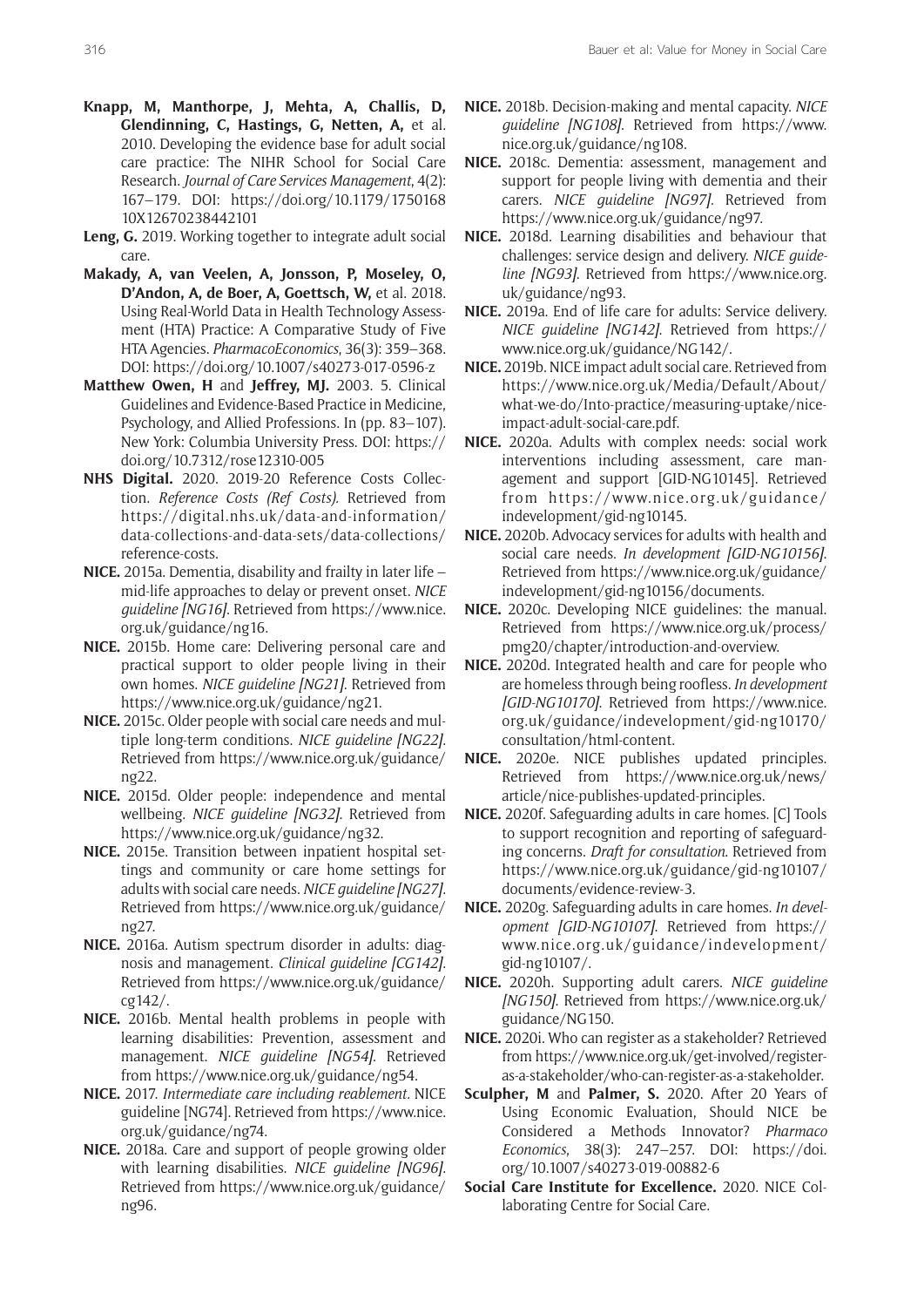- **Knapp, M, Manthorpe, J, Mehta, A, Challis, D, Glendinning, C, Hastings, G, Netten, A,** et al. 2010. Developing the evidence base for adult social care practice: The NIHR School for Social Care Research. *Journal of Care Services Management*, 4(2): 167–179. DOI: [https://doi.org/10.1179/1750168](https://doi.org/10.1179/175016810X12670238442101) [10X12670238442101](https://doi.org/10.1179/175016810X12670238442101)
- **Leng, G.** 2019. Working together to integrate adult social care.
- **Makady, A, van Veelen, A, Jonsson, P, Moseley, O, D'Andon, A, de Boer, A, Goettsch, W,** et al. 2018. Using Real-World Data in Health Technology Assessment (HTA) Practice: A Comparative Study of Five HTA Agencies. *PharmacoEconomics*, 36(3): 359–368. DOI: <https://doi.org/10.1007/s40273-017-0596-z>
- **Matthew Owen, H** and **Jeffrey, MJ.** 2003. 5. Clinical Guidelines and Evidence-Based Practice in Medicine, Psychology, and Allied Professions. In (pp. 83–107). New York: Columbia University Press. DOI: [https://](https://doi.org/10.7312/rose12310-005) [doi.org/10.7312/rose12310-005](https://doi.org/10.7312/rose12310-005)
- **NHS Digital.** 2020. 2019-20 Reference Costs Collection. *Reference Costs (Ref Costs).* Retrieved from [https://digital.nhs.uk/data-and-information/](https://digital.nhs.uk/data-and-information/data-collections-and-data-sets/data-collections/reference-costs) [data-collections-and-data-sets/data-collections/](https://digital.nhs.uk/data-and-information/data-collections-and-data-sets/data-collections/reference-costs) [reference-costs.](https://digital.nhs.uk/data-and-information/data-collections-and-data-sets/data-collections/reference-costs)
- **NICE.** 2015a. Dementia, disability and frailty in later life mid-life approaches to delay or prevent onset. *NICE guideline [NG16]*. Retrieved from [https://www.nice.](https://www.nice.org.uk/guidance/ng16) [org.uk/guidance/ng16.](https://www.nice.org.uk/guidance/ng16)
- **NICE.** 2015b. Home care: Delivering personal care and practical support to older people living in their own homes. *NICE guideline [NG21]*. Retrieved from <https://www.nice.org.uk/guidance/ng21>.
- **NICE.** 2015c. Older people with social care needs and multiple long-term conditions. *NICE guideline [NG22]*. Retrieved from [https://www.nice.org.uk/guidance/](https://www.nice.org.uk/guidance/ng22) [ng22](https://www.nice.org.uk/guidance/ng22).
- **NICE.** 2015d. Older people: independence and mental wellbeing. *NICE guideline [NG32]*. Retrieved from <https://www.nice.org.uk/guidance/ng32>.
- **NICE.** 2015e. Transition between inpatient hospital settings and community or care home settings for adults with social care needs. *NICE guideline [NG27]*. Retrieved from [https://www.nice.org.uk/guidance/](https://www.nice.org.uk/guidance/ng27) [ng27](https://www.nice.org.uk/guidance/ng27).
- **NICE.** 2016a. Autism spectrum disorder in adults: diagnosis and management. *Clinical guideline [CG142]*. Retrieved from [https://www.nice.org.uk/guidance/](https://www.nice.org.uk/guidance/cg142/) [cg142/](https://www.nice.org.uk/guidance/cg142/).
- **NICE.** 2016b. Mental health problems in people with learning disabilities: Prevention, assessment and management. *NICE guideline [NG54]*. Retrieved from <https://www.nice.org.uk/guidance/ng54>.
- **NICE.** 2017. *Intermediate care including reablement.* NICE guideline [NG74]. Retrieved from [https://www.nice.](https://www.nice.org.uk/guidance/ng74) [org.uk/guidance/ng74](https://www.nice.org.uk/guidance/ng74).
- **NICE.** 2018a. Care and support of people growing older with learning disabilities. *NICE guideline [NG96]*. Retrieved from [https://www.nice.org.uk/guidance/](https://www.nice.org.uk/guidance/ng96) [ng96](https://www.nice.org.uk/guidance/ng96).
- **NICE.** 2018b. Decision-making and mental capacity. *NICE guideline [NG108]*. Retrieved from [https://www.](https://www.nice.org.uk/guidance/ng108) [nice.org.uk/guidance/ng108.](https://www.nice.org.uk/guidance/ng108)
- **NICE.** 2018c. Dementia: assessment, management and support for people living with dementia and their carers. *NICE guideline [NG97].* Retrieved from [https://www.nice.org.uk/guidance/ng97.](https://www.nice.org.uk/guidance/ng97)
- **NICE.** 2018d. Learning disabilities and behaviour that challenges: service design and delivery. *NICE guideline [NG93]*. Retrieved from [https://www.nice.org.](https://www.nice.org.uk/guidance/ng93) [uk/guidance/ng93](https://www.nice.org.uk/guidance/ng93).
- **NICE.** 2019a. End of life care for adults: Service delivery. *NICE guideline [NG142]*. Retrieved from [https://](https://www.nice.org.uk/guidance/NG142/) [www.nice.org.uk/guidance/NG142/.](https://www.nice.org.uk/guidance/NG142/)
- **NICE.** 2019b. NICE impact adult social care. Retrieved from [https://www.nice.org.uk/Media/Default/About/](https://www.nice.org.uk/Media/Default/About/what-we-do/Into-practice/measuring-uptake/nice-impact-adult-social-care.pdf) [what-we-do/Into-practice/measuring-uptake/nice](https://www.nice.org.uk/Media/Default/About/what-we-do/Into-practice/measuring-uptake/nice-impact-adult-social-care.pdf)[impact-adult-social-care.pdf.](https://www.nice.org.uk/Media/Default/About/what-we-do/Into-practice/measuring-uptake/nice-impact-adult-social-care.pdf)
- **NICE.** 2020a. Adults with complex needs: social work interventions including assessment, care management and support [GID-NG10145]. Retrieved from [https://www.nice.org.uk/guidance/](https://www.nice.org.uk/guidance/indevelopment/gid-ng10145) [indevelopment/gid-ng10145.](https://www.nice.org.uk/guidance/indevelopment/gid-ng10145)
- **NICE.** 2020b. Advocacy services for adults with health and social care needs. *In development [GID-NG10156]*. Retrieved from [https://www.nice.org.uk/guidance/](https://www.nice.org.uk/guidance/indevelopment/gid-ng10156/documents) [indevelopment/gid-ng10156/documents.](https://www.nice.org.uk/guidance/indevelopment/gid-ng10156/documents)
- **NICE.** 2020c. Developing NICE guidelines: the manual. Retrieved from [https://www.nice.org.uk/process/](https://www.nice.org.uk/process/pmg20/chapter/introduction-and-overview) [pmg20/chapter/introduction-and-overview](https://www.nice.org.uk/process/pmg20/chapter/introduction-and-overview).
- **NICE.** 2020d. Integrated health and care for people who are homelessthrough being roofless. *In development [GID-NG10170]*. Retrieved from [https://www.nice.](https://www.nice.org.uk/guidance/indevelopment/gid-ng10170/consultation/html-content) [org.uk/guidance/indevelopment/gid-ng10170/](https://www.nice.org.uk/guidance/indevelopment/gid-ng10170/consultation/html-content) [consultation/html-content.](https://www.nice.org.uk/guidance/indevelopment/gid-ng10170/consultation/html-content)
- **NICE.** 2020e. NICE publishes updated principles. Retrieved from [https://www.nice.org.uk/news/](https://www.nice.org.uk/news/article/nice-publishes-updated-principles) [article/nice-publishes-updated-principles](https://www.nice.org.uk/news/article/nice-publishes-updated-principles).
- **NICE.** 2020f. Safeguarding adults in care homes. [C] Tools to support recognition and reporting of safeguarding concerns. *Draft for consultation*. Retrieved from [https://www.nice.org.uk/guidance/gid-ng10107/](https://www.nice.org.uk/guidance/gid-ng10107/documents/evidence-review-3) [documents/evidence-review-3](https://www.nice.org.uk/guidance/gid-ng10107/documents/evidence-review-3).
- **NICE.** 2020g. Safeguarding adults in care homes. *In development [GID-NG10107]*. Retrieved from [https://](https://www.nice.org.uk/guidance/indevelopment/gid-ng10107/) [www.nice.org.uk/guidance/indevelopment/](https://www.nice.org.uk/guidance/indevelopment/gid-ng10107/) [gid-ng10107/](https://www.nice.org.uk/guidance/indevelopment/gid-ng10107/).
- **NICE.** 2020h. Supporting adult carers. *NICE guideline [NG150]*. Retrieved from [https://www.nice.org.uk/](https://www.nice.org.uk/guidance/NG150) [guidance/NG150.](https://www.nice.org.uk/guidance/NG150)
- **NICE.** 2020i. Who can register as a stakeholder? Retrieved from [https://www.nice.org.uk/get-involved/register](https://www.nice.org.uk/get-involved/register-as-a-stakeholder/who-can-register-as-a-stakeholder)[as-a-stakeholder/who-can-register-as-a-stakeholder.](https://www.nice.org.uk/get-involved/register-as-a-stakeholder/who-can-register-as-a-stakeholder)
- **Sculpher, M** and **Palmer, S.** 2020. After 20 Years of Using Economic Evaluation, Should NICE be Considered a Methods Innovator? *Pharmaco Economics*, 38(3): 247–257. DOI: [https://doi.](https://doi.org/10.1007/s40273-019-00882-6) [org/10.1007/s40273-019-00882-6](https://doi.org/10.1007/s40273-019-00882-6)
- **Social Care Institute for Excellence.** 2020. NICE Collaborating Centre for Social Care.